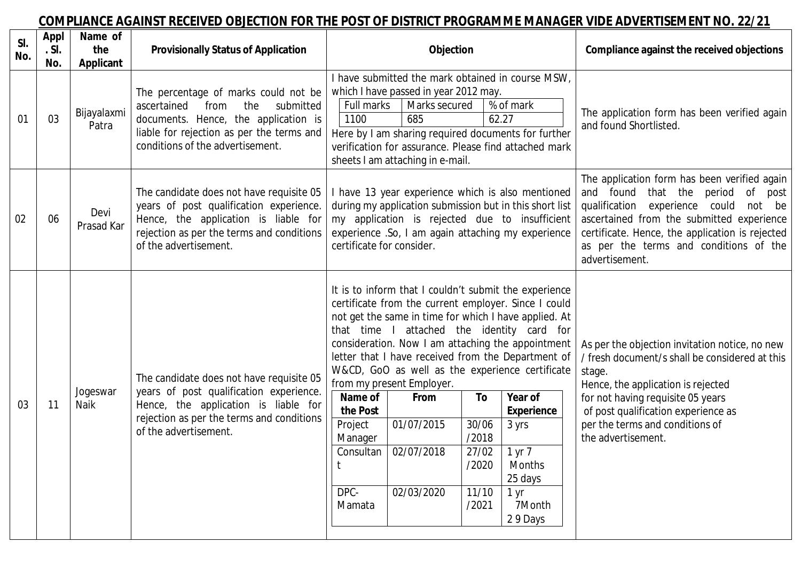## **COMPLIANCE AGAINST RECEIVED OBJECTION FOR THE POST OF DISTRICT PROGRAMME MANAGER VIDE ADVERTISEMENT NO. 22/21**

| SI.<br>No. | Appl<br>.S.<br>No. | Name of<br>the<br>Applicant | <b>Provisionally Status of Application</b>                                                                                                                                                               | Objection                                                                                                                                                                                                                                                                                                                                                                                                                                                                                                                                                                                                                                                                                                                | Compliance against the received objections                                                                                                                                                                                                                                                                  |
|------------|--------------------|-----------------------------|----------------------------------------------------------------------------------------------------------------------------------------------------------------------------------------------------------|--------------------------------------------------------------------------------------------------------------------------------------------------------------------------------------------------------------------------------------------------------------------------------------------------------------------------------------------------------------------------------------------------------------------------------------------------------------------------------------------------------------------------------------------------------------------------------------------------------------------------------------------------------------------------------------------------------------------------|-------------------------------------------------------------------------------------------------------------------------------------------------------------------------------------------------------------------------------------------------------------------------------------------------------------|
| 01         | 03                 | Bijayalaxmi<br>Patra        | The percentage of marks could not be<br>ascertained<br>the<br>submitted<br>from<br>documents. Hence, the application is<br>liable for rejection as per the terms and<br>conditions of the advertisement. | I have submitted the mark obtained in course MSW,<br>which I have passed in year 2012 may.<br>Full marks<br>Marks secured<br>% of mark<br>62.27<br>1100<br>685<br>Here by I am sharing required documents for further<br>verification for assurance. Please find attached mark<br>sheets I am attaching in e-mail.                                                                                                                                                                                                                                                                                                                                                                                                       | The application form has been verified again<br>and found Shortlisted.                                                                                                                                                                                                                                      |
| 02         | 06                 | Devi<br>Prasad Kar          | The candidate does not have requisite 05<br>years of post qualification experience.<br>Hence, the application is liable for<br>rejection as per the terms and conditions<br>of the advertisement.        | I have 13 year experience which is also mentioned<br>during my application submission but in this short list<br>my application is rejected due to insufficient<br>experience .So, I am again attaching my experience<br>certificate for consider.                                                                                                                                                                                                                                                                                                                                                                                                                                                                        | The application form has been verified again<br>and found<br>that the<br>period<br>of<br>post<br>qualification<br>experience<br>could<br>not be<br>ascertained from the submitted experience<br>certificate. Hence, the application is rejected<br>as per the terms and conditions of the<br>advertisement. |
| 03         | 11                 | Jogeswar<br>Naik            | The candidate does not have requisite 05<br>years of post qualification experience.<br>Hence, the application is liable for<br>rejection as per the terms and conditions<br>of the advertisement.        | It is to inform that I couldn't submit the experience<br>certificate from the current employer. Since I could<br>not get the same in time for which I have applied. At<br>attached the identity card for<br>that time I<br>consideration. Now I am attaching the appointment<br>letter that I have received from the Department of<br>W&CD, GoO as well as the experience certificate<br>from my present Employer.<br>Name of<br>To<br>Year of<br>From<br>the Post<br><b>Experience</b><br>01/07/2015<br>Project<br>30/06<br>3 yrs<br>/2018<br>Manager<br>02/07/2018<br>Consultan<br>27/02<br>1 yr 7<br>/2020<br><b>Months</b><br>25 days<br>DPC-<br>02/03/2020<br>11/10<br>1 yr<br>7Month<br>/2021<br>Mamata<br>29 Days | As per the objection invitation notice, no new<br>/ fresh document/s shall be considered at this<br>stage.<br>Hence, the application is rejected<br>for not having requisite 05 years<br>of post qualification experience as<br>per the terms and conditions of<br>the advertisement.                       |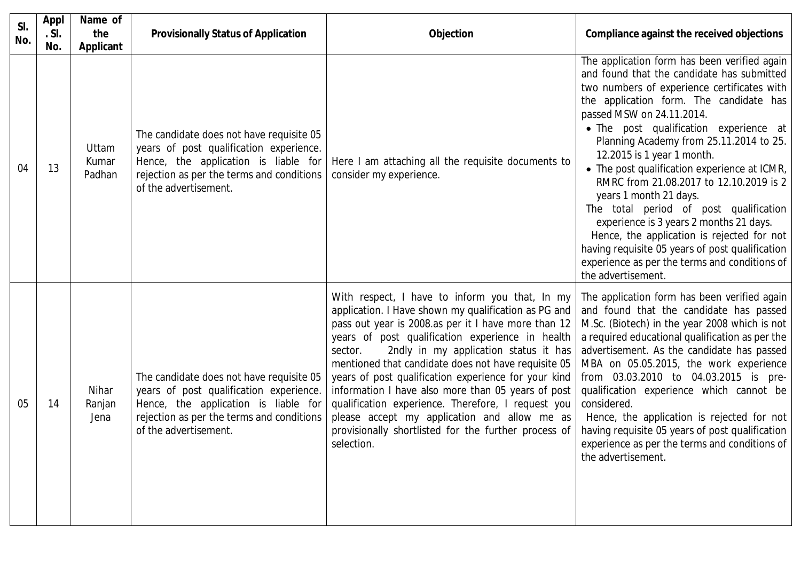| SI.<br>No. | Appl<br>.S.<br>No. | Name of<br>the<br>Applicant | <b>Provisionally Status of Application</b>                                                                                                                                                        | Objection                                                                                                                                                                                                                                                                                                                                                                                                                                                                                                                                                                                                              | Compliance against the received objections                                                                                                                                                                                                                                                                                                                                                                                                                                                                                                                                                                                                                                                                             |
|------------|--------------------|-----------------------------|---------------------------------------------------------------------------------------------------------------------------------------------------------------------------------------------------|------------------------------------------------------------------------------------------------------------------------------------------------------------------------------------------------------------------------------------------------------------------------------------------------------------------------------------------------------------------------------------------------------------------------------------------------------------------------------------------------------------------------------------------------------------------------------------------------------------------------|------------------------------------------------------------------------------------------------------------------------------------------------------------------------------------------------------------------------------------------------------------------------------------------------------------------------------------------------------------------------------------------------------------------------------------------------------------------------------------------------------------------------------------------------------------------------------------------------------------------------------------------------------------------------------------------------------------------------|
| 04         | 13                 | Uttam<br>Kumar<br>Padhan    | The candidate does not have requisite 05<br>years of post qualification experience.<br>Hence, the application is liable for<br>rejection as per the terms and conditions<br>of the advertisement. | Here I am attaching all the requisite documents to<br>consider my experience.                                                                                                                                                                                                                                                                                                                                                                                                                                                                                                                                          | The application form has been verified again<br>and found that the candidate has submitted<br>two numbers of experience certificates with<br>the application form. The candidate has<br>passed MSW on 24.11.2014.<br>• The post qualification experience at<br>Planning Academy from 25.11.2014 to 25.<br>12.2015 is 1 year 1 month.<br>• The post qualification experience at ICMR,<br>RMRC from 21.08.2017 to 12.10.2019 is 2<br>years 1 month 21 days.<br>The total period of post qualification<br>experience is 3 years 2 months 21 days.<br>Hence, the application is rejected for not<br>having requisite 05 years of post qualification<br>experience as per the terms and conditions of<br>the advertisement. |
| 05         | 14                 | Nihar<br>Ranjan<br>Jena     | The candidate does not have requisite 05<br>years of post qualification experience.<br>Hence, the application is liable for<br>rejection as per the terms and conditions<br>of the advertisement. | With respect, I have to inform you that, In my<br>application. I Have shown my qualification as PG and<br>pass out year is 2008.as per it I have more than 12<br>years of post qualification experience in health<br>2ndly in my application status it has<br>sector.<br>mentioned that candidate does not have requisite 05<br>years of post qualification experience for your kind<br>information I have also more than 05 years of post<br>qualification experience. Therefore, I request you<br>please accept my application and allow me as<br>provisionally shortlisted for the further process of<br>selection. | The application form has been verified again<br>and found that the candidate has passed<br>M.Sc. (Biotech) in the year 2008 which is not<br>a required educational qualification as per the<br>advertisement. As the candidate has passed<br>MBA on 05.05.2015, the work experience<br>from 03.03.2010 to 04.03.2015 is pre-<br>qualification experience which cannot be<br>considered.<br>Hence, the application is rejected for not<br>having requisite 05 years of post qualification<br>experience as per the terms and conditions of<br>the advertisement.                                                                                                                                                        |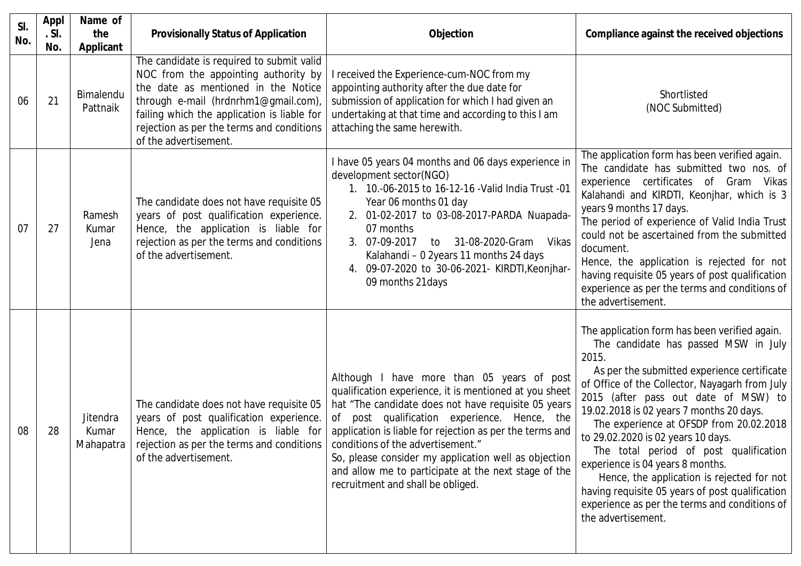| SI.<br>No. | <b>Appl</b><br>.S.<br>No. | Name of<br>the<br>Applicant    | <b>Provisionally Status of Application</b>                                                                                                                                                                                                                                            | Objection                                                                                                                                                                                                                                                                                                                                                                                                                                                         | Compliance against the received objections                                                                                                                                                                                                                                                                                                                                                                                                                                                                                                                                                                                 |
|------------|---------------------------|--------------------------------|---------------------------------------------------------------------------------------------------------------------------------------------------------------------------------------------------------------------------------------------------------------------------------------|-------------------------------------------------------------------------------------------------------------------------------------------------------------------------------------------------------------------------------------------------------------------------------------------------------------------------------------------------------------------------------------------------------------------------------------------------------------------|----------------------------------------------------------------------------------------------------------------------------------------------------------------------------------------------------------------------------------------------------------------------------------------------------------------------------------------------------------------------------------------------------------------------------------------------------------------------------------------------------------------------------------------------------------------------------------------------------------------------------|
| 06         | 21                        | Bimalendu<br>Pattnaik          | The candidate is required to submit valid<br>NOC from the appointing authority by<br>the date as mentioned in the Notice<br>through e-mail (hrdnrhm1@gmail.com),<br>failing which the application is liable for<br>rejection as per the terms and conditions<br>of the advertisement. | I received the Experience-cum-NOC from my<br>appointing authority after the due date for<br>submission of application for which I had given an<br>undertaking at that time and according to this I am<br>attaching the same herewith.                                                                                                                                                                                                                             | Shortlisted<br>(NOC Submitted)                                                                                                                                                                                                                                                                                                                                                                                                                                                                                                                                                                                             |
| 07         | 27                        | Ramesh<br>Kumar<br>Jena        | The candidate does not have requisite 05<br>years of post qualification experience.<br>Hence, the application is liable for<br>rejection as per the terms and conditions<br>of the advertisement.                                                                                     | I have 05 years 04 months and 06 days experience in<br>development sector(NGO)<br>1. 10.-06-2015 to 16-12-16 - Valid India Trust -01<br>Year 06 months 01 day<br>2. 01-02-2017 to 03-08-2017-PARDA Nuapada-<br>07 months<br>07-09-2017<br>31-08-2020-Gram<br>Vikas<br>to<br>Kalahandi - 0 2years 11 months 24 days<br>4. 09-07-2020 to 30-06-2021- KIRDTI, Keonjhar-<br>09 months 21 days                                                                         | The application form has been verified again.<br>The candidate has submitted two nos. of<br>experience certificates of Gram Vikas<br>Kalahandi and KIRDTI, Keonjhar, which is 3<br>years 9 months 17 days.<br>The period of experience of Valid India Trust<br>could not be ascertained from the submitted<br>document.<br>Hence, the application is rejected for not<br>having requisite 05 years of post qualification<br>experience as per the terms and conditions of<br>the advertisement.                                                                                                                            |
| 08         | 28                        | Jitendra<br>Kumar<br>Mahapatra | The candidate does not have requisite 05<br>years of post qualification experience.<br>Hence, the application is liable for<br>rejection as per the terms and conditions<br>of the advertisement.                                                                                     | Although I have more than 05 years of post<br>qualification experience, it is mentioned at you sheet<br>hat "The candidate does not have requisite 05 years<br>of post qualification experience. Hence, the<br>application is liable for rejection as per the terms and<br>conditions of the advertisement."<br>So, please consider my application well as objection<br>and allow me to participate at the next stage of the<br>recruitment and shall be obliged. | The application form has been verified again.<br>The candidate has passed MSW in July<br>2015.<br>As per the submitted experience certificate<br>of Office of the Collector, Nayagarh from July<br>2015 (after pass out date of MSW) to<br>19.02.2018 is 02 years 7 months 20 days.<br>The experience at OFSDP from 20.02.2018<br>to 29.02.2020 is 02 years 10 days.<br>The total period of post qualification<br>experience is 04 years 8 months.<br>Hence, the application is rejected for not<br>having requisite 05 years of post qualification<br>experience as per the terms and conditions of<br>the advertisement. |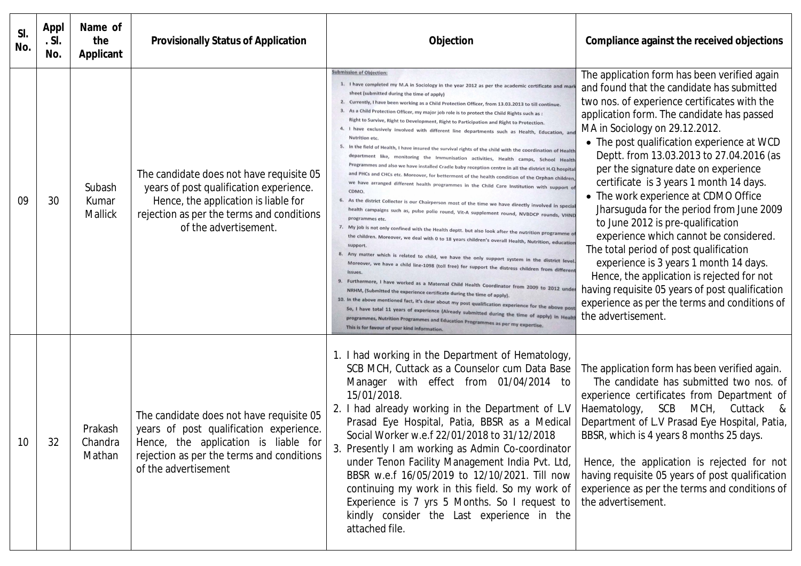| SI.<br>No. | <b>Appl</b><br>.S.<br>No. | Name of<br>the<br><b>Applicant</b> | <b>Provisionally Status of Application</b>                                                                                                                                                        | Objection                                                                                                                                                                                                                                                                                                                                                                                                                                                                                                                                                                                                                                                                                                                                                                                                                                                                                                                                                                                                                                                                                                                                                                                                                                                                                                                                                                                                                                                                                                                                                                                                                                                                                                                                                                                                                                                                                                                                                                                                                                                                                                                                                                                                                                                                                             | Compliance against the received objections                                                                                                                                                                                                                                                                                                                                                                                                                                                                                                                                                                                                                                                                                                                                                                                             |
|------------|---------------------------|------------------------------------|---------------------------------------------------------------------------------------------------------------------------------------------------------------------------------------------------|-------------------------------------------------------------------------------------------------------------------------------------------------------------------------------------------------------------------------------------------------------------------------------------------------------------------------------------------------------------------------------------------------------------------------------------------------------------------------------------------------------------------------------------------------------------------------------------------------------------------------------------------------------------------------------------------------------------------------------------------------------------------------------------------------------------------------------------------------------------------------------------------------------------------------------------------------------------------------------------------------------------------------------------------------------------------------------------------------------------------------------------------------------------------------------------------------------------------------------------------------------------------------------------------------------------------------------------------------------------------------------------------------------------------------------------------------------------------------------------------------------------------------------------------------------------------------------------------------------------------------------------------------------------------------------------------------------------------------------------------------------------------------------------------------------------------------------------------------------------------------------------------------------------------------------------------------------------------------------------------------------------------------------------------------------------------------------------------------------------------------------------------------------------------------------------------------------------------------------------------------------------------------------------------------------|----------------------------------------------------------------------------------------------------------------------------------------------------------------------------------------------------------------------------------------------------------------------------------------------------------------------------------------------------------------------------------------------------------------------------------------------------------------------------------------------------------------------------------------------------------------------------------------------------------------------------------------------------------------------------------------------------------------------------------------------------------------------------------------------------------------------------------------|
| 09         | 30                        | Subash<br>Kumar<br>Mallick         | The candidate does not have requisite 05<br>years of post qualification experience.<br>Hence, the application is liable for<br>rejection as per the terms and conditions<br>of the advertisement. | <b>Submission of Objection</b><br>1. I have completed my M.A in Sociology in the year 2012 as per the academic certificate and<br>sheet (submitted during the time of apply)<br>2. Currently, I have been working as a Child Protection Officer, from 13.03.2013 to till continue.<br>As a Child Protection Officer, my major job role is to protect the Child Rights such as :<br>Right to Survive, Right to Development, Right to Participation and Right to Protection.<br>I have exclusively involved with different line departments such as Health, Education, an<br><b>Nutrition etc</b><br>In the field of Health, I have insured the survival rights of the child with the coordination of Health<br>department like, monitoring the Immunisation activities, Health camps, School Health<br>Programmes and also we have installed Cradle baby reception centre in all the district H.Q hospita<br>and PHCs and CHCs etc. Moreover, for betterment of the health condition of the Orphan children<br>we have arranged different health programmes in the Child Care Institution with support o<br>CDMO<br>6.<br>As the district Collector is our Chairperson most of the time we have directly involved in specia<br>health campaigns such as, pulse polio round, Vit-A supplement round, NVBDCP rounds, VHND<br>programmes etc<br>7. My job is not only confined with the Health deptt. but also look after the nutrition programme of<br>the children. Moreover, we deal with 0 to 18 years children's overall Health, Nutrition, education<br>support<br>8. Any matter which is related to child, we have the only support system in the district level<br>Moreover, we have a child line-1098 (toll free) for support the distress children from different<br>issues<br>9. Furthermore, I have worked as a Maternal Child Health Coordinator from 2009 to 2012 unde<br>NRHM, (Submitted the experience certificate during the time of apply).<br>10. In the above mentioned fact, it's clear about my post qualification experience for the above post<br>So, I have total 11 years of experience (Already submitted during the time of apply) in Healt<br>programmes, Nutrition Programmes and Education Programmes as per my expertise.<br>This is for favour of your kind information | The application form has been verified again<br>and found that the candidate has submitted<br>two nos. of experience certificates with the<br>application form. The candidate has passed<br>MA in Sociology on 29.12.2012.<br>• The post qualification experience at WCD<br>Deptt. from 13.03.2013 to 27.04.2016 (as<br>per the signature date on experience<br>certificate is 3 years 1 month 14 days.<br>• The work experience at CDMO Office<br>Jharsuguda for the period from June 2009<br>to June 2012 is pre-qualification<br>experience which cannot be considered.<br>The total period of post qualification<br>experience is 3 years 1 month 14 days.<br>Hence, the application is rejected for not<br>having requisite 05 years of post qualification<br>experience as per the terms and conditions of<br>the advertisement. |
| 10         | 32                        | Prakash<br>Chandra<br>Mathan       | The candidate does not have requisite 05<br>years of post qualification experience.<br>Hence, the application is liable for<br>rejection as per the terms and conditions<br>of the advertisement  | 1. I had working in the Department of Hematology,<br>SCB MCH, Cuttack as a Counselor cum Data Base<br>Manager with effect from 01/04/2014 to<br>15/01/2018<br>2. I had already working in the Department of L.V<br>Prasad Eye Hospital, Patia, BBSR as a Medical<br>Social Worker w.e.f 22/01/2018 to 31/12/2018<br>3. Presently I am working as Admin Co-coordinator<br>under Tenon Facility Management India Pvt. Ltd,<br>BBSR w.e.f 16/05/2019 to 12/10/2021. Till now<br>continuing my work in this field. So my work of<br>Experience is 7 yrs 5 Months. So I request to<br>kindly consider the Last experience in the<br>attached file.                                                                                                                                                                                                                                                                                                                                                                                                                                                                                                                                                                                                                                                                                                                                                                                                                                                                                                                                                                                                                                                                                                                                                                                                                                                                                                                                                                                                                                                                                                                                                                                                                                                         | The application form has been verified again.<br>The candidate has submitted two nos. of<br>experience certificates from Department of<br>SCB MCH, Cuttack &<br>Haematology,<br>Department of L.V Prasad Eye Hospital, Patia,<br>BBSR, which is 4 years 8 months 25 days.<br>Hence, the application is rejected for not<br>having requisite 05 years of post qualification<br>experience as per the terms and conditions of<br>the advertisement.                                                                                                                                                                                                                                                                                                                                                                                      |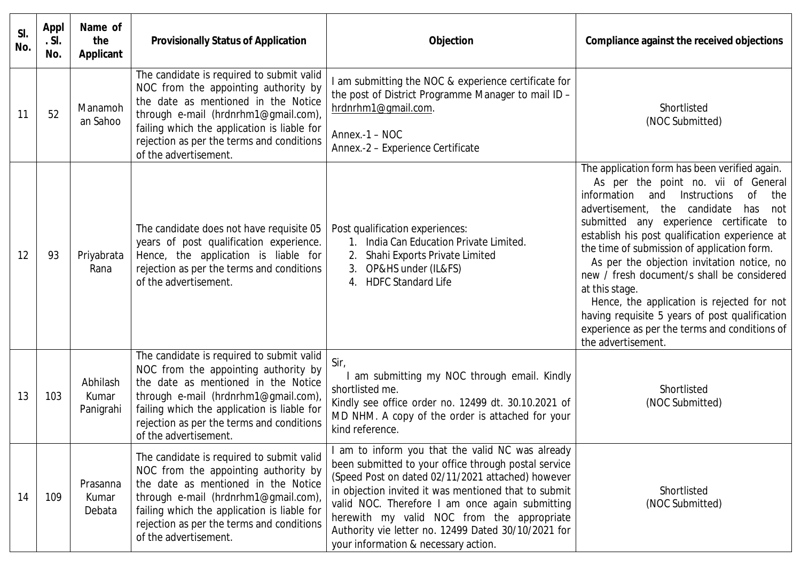| SI.<br>No. | Appl<br>.S.<br>No. | Name of<br>the<br>Applicant    | <b>Provisionally Status of Application</b>                                                                                                                                                                                                                                            | <b>Objection</b>                                                                                                                                                                                                                                                                                                                                                                                                    | Compliance against the received objections                                                                                                                                                                                                                                                                                                                                                                                                                                                                                                                                                                                           |
|------------|--------------------|--------------------------------|---------------------------------------------------------------------------------------------------------------------------------------------------------------------------------------------------------------------------------------------------------------------------------------|---------------------------------------------------------------------------------------------------------------------------------------------------------------------------------------------------------------------------------------------------------------------------------------------------------------------------------------------------------------------------------------------------------------------|--------------------------------------------------------------------------------------------------------------------------------------------------------------------------------------------------------------------------------------------------------------------------------------------------------------------------------------------------------------------------------------------------------------------------------------------------------------------------------------------------------------------------------------------------------------------------------------------------------------------------------------|
| 11         | 52                 | Manamoh<br>an Sahoo            | The candidate is required to submit valid<br>NOC from the appointing authority by<br>the date as mentioned in the Notice<br>through e-mail (hrdnrhm1@gmail.com),<br>failing which the application is liable for<br>rejection as per the terms and conditions<br>of the advertisement. | I am submitting the NOC & experience certificate for<br>the post of District Programme Manager to mail ID -<br>hrdnrhm1@gmail.com.<br>Annex. $-1 - NOC$<br>Annex.-2 - Experience Certificate                                                                                                                                                                                                                        | Shortlisted<br>(NOC Submitted)                                                                                                                                                                                                                                                                                                                                                                                                                                                                                                                                                                                                       |
| 12         | 93                 | Priyabrata<br>Rana             | The candidate does not have requisite 05<br>years of post qualification experience.<br>Hence, the application is liable for<br>rejection as per the terms and conditions<br>of the advertisement.                                                                                     | Post qualification experiences:<br>1. India Can Education Private Limited.<br>Shahi Exports Private Limited<br>2.<br>OP&HS under (IL&FS)<br>3.<br>4. HDFC Standard Life                                                                                                                                                                                                                                             | The application form has been verified again.<br>As per the point no. vii of General<br>Instructions<br>information<br>and<br><sub>of</sub><br>the<br>the candidate<br>advertisement,<br>has<br>not<br>submitted any experience certificate to<br>establish his post qualification experience at<br>the time of submission of application form.<br>As per the objection invitation notice, no<br>new / fresh document/s shall be considered<br>at this stage.<br>Hence, the application is rejected for not<br>having requisite 5 years of post qualification<br>experience as per the terms and conditions of<br>the advertisement. |
| 13         | 103                | Abhilash<br>Kumar<br>Panigrahi | The candidate is required to submit valid<br>NOC from the appointing authority by<br>the date as mentioned in the Notice<br>through e-mail (hrdnrhm1@gmail.com),<br>failing which the application is liable for<br>rejection as per the terms and conditions<br>of the advertisement. | Sir,<br>am submitting my NOC through email. Kindly<br>shortlisted me.<br>Kindly see office order no. 12499 dt. 30.10.2021 of<br>MD NHM. A copy of the order is attached for your<br>kind reference.                                                                                                                                                                                                                 | Shortlisted<br>(NOC Submitted)                                                                                                                                                                                                                                                                                                                                                                                                                                                                                                                                                                                                       |
| 14         | 109                | Prasanna<br>Kumar<br>Debata    | The candidate is required to submit valid<br>NOC from the appointing authority by<br>the date as mentioned in the Notice<br>through e-mail (hrdnrhm1@gmail.com),<br>failing which the application is liable for<br>rejection as per the terms and conditions<br>of the advertisement. | am to inform you that the valid NC was already<br>been submitted to your office through postal service<br>(Speed Post on dated 02/11/2021 attached) however<br>in objection invited it was mentioned that to submit<br>valid NOC. Therefore I am once again submitting<br>herewith my valid NOC from the appropriate<br>Authority vie letter no. 12499 Dated 30/10/2021 for<br>your information & necessary action. | Shortlisted<br>(NOC Submitted)                                                                                                                                                                                                                                                                                                                                                                                                                                                                                                                                                                                                       |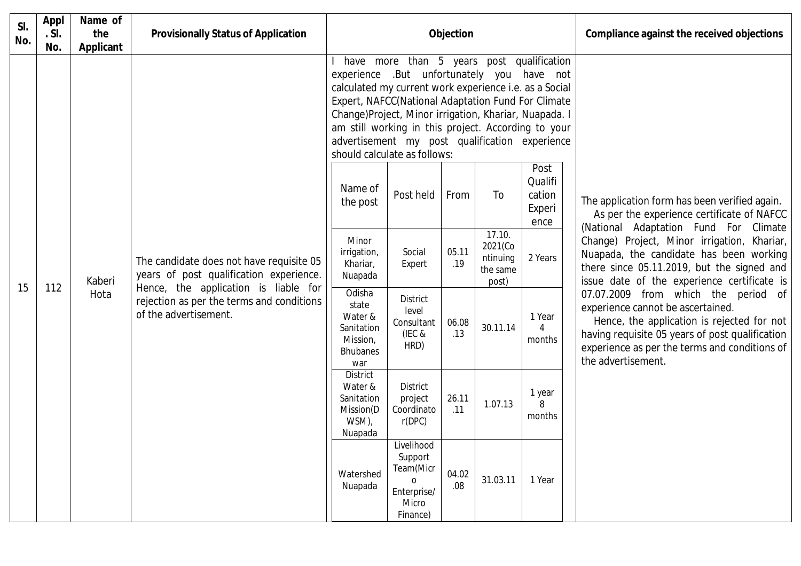| SI.<br>No. | Appl<br>.S.<br>No. | Name of<br>the<br>Applicant | <b>Provisionally Status of Application</b>                                                                                  | Objection                                                                                                                                                                                                                                                                                                                                                    |                                                                                    |              |                                                                  | Compliance against the received objections  |                                                                                                                                                                                                                                                  |
|------------|--------------------|-----------------------------|-----------------------------------------------------------------------------------------------------------------------------|--------------------------------------------------------------------------------------------------------------------------------------------------------------------------------------------------------------------------------------------------------------------------------------------------------------------------------------------------------------|------------------------------------------------------------------------------------|--------------|------------------------------------------------------------------|---------------------------------------------|--------------------------------------------------------------------------------------------------------------------------------------------------------------------------------------------------------------------------------------------------|
|            |                    |                             |                                                                                                                             | experience .But unfortunately you have not<br>calculated my current work experience i.e. as a Social<br>Expert, NAFCC(National Adaptation Fund For Climate<br>Change)Project, Minor irrigation, Khariar, Nuapada. I<br>am still working in this project. According to your<br>advertisement my post qualification experience<br>should calculate as follows: | have more than 5 years post qualification                                          |              |                                                                  |                                             |                                                                                                                                                                                                                                                  |
|            |                    |                             |                                                                                                                             | Name of<br>the post                                                                                                                                                                                                                                                                                                                                          | Post held                                                                          | From         | To                                                               | Post<br>Qualifi<br>cation<br>Experi<br>ence | The application form has been verified again.<br>As per the experience certificate of NAFCC<br>(National Adaptation Fund For Climate                                                                                                             |
| 15         | 112                | Kaberi                      | The candidate does not have requisite 05<br>years of post qualification experience.<br>Hence, the application is liable for | Minor<br>irrigation,<br>Khariar,<br>Nuapada                                                                                                                                                                                                                                                                                                                  | Social<br>Expert                                                                   | 05.11<br>.19 | $\overline{17.10}$ .<br>2021(Co<br>ntinuing<br>the same<br>post) | 2 Years                                     | Change) Project, Minor irrigation, Khariar,<br>Nuapada, the candidate has been working<br>there since 05.11.2019, but the signed and<br>issue date of the experience certificate is                                                              |
|            |                    | Hota                        | rejection as per the terms and conditions<br>of the advertisement.                                                          | Odisha<br>state<br>Water &<br>Sanitation<br>Mission,<br><b>Bhubanes</b><br>war                                                                                                                                                                                                                                                                               | <b>District</b><br>level<br>Consultant<br>(IEC &<br>HRD)                           | 06.08<br>.13 | 30.11.14                                                         | 1 Year<br>months                            | 07.07.2009 from which the period of<br>experience cannot be ascertained.<br>Hence, the application is rejected for not<br>having requisite 05 years of post qualification<br>experience as per the terms and conditions of<br>the advertisement. |
|            |                    |                             |                                                                                                                             | <b>District</b><br>Water &<br>Sanitation<br>Mission(D<br>WSM),<br>Nuapada                                                                                                                                                                                                                                                                                    | <b>District</b><br>project<br>Coordinato<br>r(DPC)                                 | 26.11<br>.11 | 1.07.13                                                          | 1 year<br>8<br>months                       |                                                                                                                                                                                                                                                  |
|            |                    |                             |                                                                                                                             | Watershed<br>Nuapada                                                                                                                                                                                                                                                                                                                                         | Livelihood<br>Support<br>Team(Micr<br>$\Omega$<br>Enterprise/<br>Micro<br>Finance) | 04.02<br>.08 | 31.03.11                                                         | 1 Year                                      |                                                                                                                                                                                                                                                  |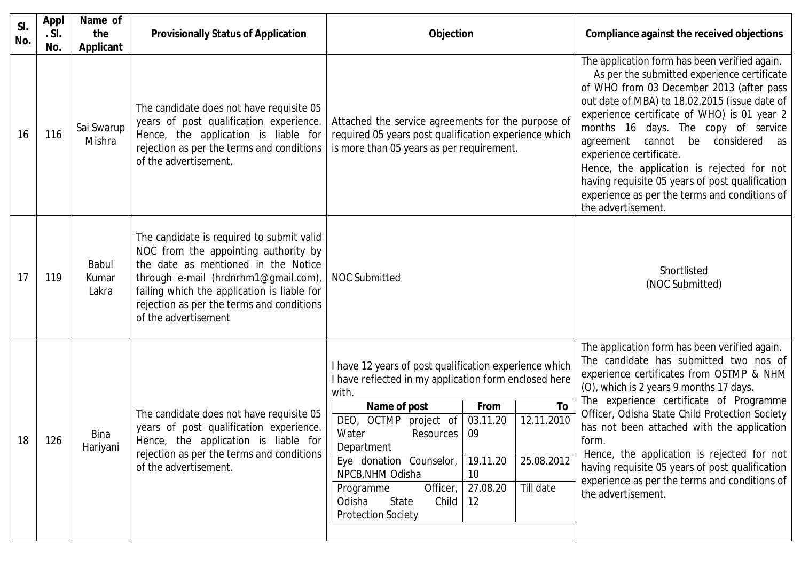| SI.<br>No. | <b>Appl</b><br>.S.<br>No. | Name of<br>the<br><b>Applicant</b> | <b>Provisionally Status of Application</b>                                                                                                                                                                                                                                           | <b>Objection</b>                                                                                                                                                                                                                                                                                                                                                                                                                                      | Compliance against the received objections                                                                                                                                                                                                                                                                                                                                                                                                                                                                              |
|------------|---------------------------|------------------------------------|--------------------------------------------------------------------------------------------------------------------------------------------------------------------------------------------------------------------------------------------------------------------------------------|-------------------------------------------------------------------------------------------------------------------------------------------------------------------------------------------------------------------------------------------------------------------------------------------------------------------------------------------------------------------------------------------------------------------------------------------------------|-------------------------------------------------------------------------------------------------------------------------------------------------------------------------------------------------------------------------------------------------------------------------------------------------------------------------------------------------------------------------------------------------------------------------------------------------------------------------------------------------------------------------|
| 16         | 116                       | Sai Swarup<br>Mishra               | The candidate does not have requisite 05<br>years of post qualification experience.<br>Hence, the application is liable for<br>rejection as per the terms and conditions<br>of the advertisement.                                                                                    | Attached the service agreements for the purpose of<br>required 05 years post qualification experience which<br>is more than 05 years as per requirement.                                                                                                                                                                                                                                                                                              | The application form has been verified again.<br>As per the submitted experience certificate<br>of WHO from 03 December 2013 (after pass<br>out date of MBA) to 18.02.2015 (issue date of<br>experience certificate of WHO) is 01 year 2<br>months 16 days. The copy of service<br>agreement cannot be considered as<br>experience certificate.<br>Hence, the application is rejected for not<br>having requisite 05 years of post qualification<br>experience as per the terms and conditions of<br>the advertisement. |
| 17         | 119                       | Babul<br>Kumar<br>Lakra            | The candidate is required to submit valid<br>NOC from the appointing authority by<br>the date as mentioned in the Notice<br>through e-mail (hrdnrhm1@gmail.com),<br>failing which the application is liable for<br>rejection as per the terms and conditions<br>of the advertisement | <b>NOC Submitted</b>                                                                                                                                                                                                                                                                                                                                                                                                                                  | Shortlisted<br>(NOC Submitted)                                                                                                                                                                                                                                                                                                                                                                                                                                                                                          |
| 18         | 126                       | <b>Bina</b><br>Hariyani            | The candidate does not have requisite 05<br>years of post qualification experience.<br>Hence, the application is liable for<br>rejection as per the terms and conditions<br>of the advertisement.                                                                                    | I have 12 years of post qualification experience which<br>I have reflected in my application form enclosed here<br>with.<br>To<br>Name of post<br>From<br>12.11.2010<br>DEO, OCTMP project of<br>03.11.20<br>Water<br>09<br>Resources  <br>Department<br>19.11.20<br>25.08.2012<br>Eye donation Counselor,<br>NPCB, NHM Odisha<br>10<br>Officer,<br>Till date<br>27.08.20<br>Programme<br>Odisha<br>Child<br>12<br>State<br><b>Protection Society</b> | The application form has been verified again.<br>The candidate has submitted two nos of<br>experience certificates from OSTMP & NHM<br>(O), which is 2 years 9 months 17 days.<br>The experience certificate of Programme<br>Officer, Odisha State Child Protection Society<br>has not been attached with the application<br>form.<br>Hence, the application is rejected for not<br>having requisite 05 years of post qualification  <br>experience as per the terms and conditions of<br>the advertisement.            |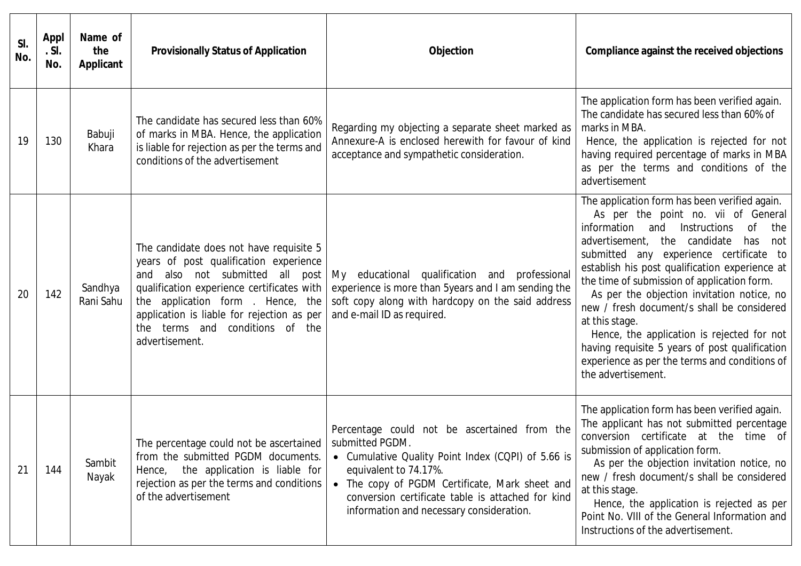| SI.<br>No. | Appl<br>.S.<br>No. | Name of<br>the<br><b>Applicant</b> | <b>Provisionally Status of Application</b>                                                                                                                                                                                                                                                                 | Objection                                                                                                                                                                                                                                                                                         | Compliance against the received objections                                                                                                                                                                                                                                                                                                                                                                                                                                                                                                                                                                             |
|------------|--------------------|------------------------------------|------------------------------------------------------------------------------------------------------------------------------------------------------------------------------------------------------------------------------------------------------------------------------------------------------------|---------------------------------------------------------------------------------------------------------------------------------------------------------------------------------------------------------------------------------------------------------------------------------------------------|------------------------------------------------------------------------------------------------------------------------------------------------------------------------------------------------------------------------------------------------------------------------------------------------------------------------------------------------------------------------------------------------------------------------------------------------------------------------------------------------------------------------------------------------------------------------------------------------------------------------|
| 19         | 130                | Babuji<br>Khara                    | The candidate has secured less than 60%<br>of marks in MBA. Hence, the application<br>is liable for rejection as per the terms and<br>conditions of the advertisement                                                                                                                                      | Regarding my objecting a separate sheet marked as<br>Annexure-A is enclosed herewith for favour of kind<br>acceptance and sympathetic consideration.                                                                                                                                              | The application form has been verified again.<br>The candidate has secured less than 60% of<br>marks in MBA.<br>Hence, the application is rejected for not<br>having required percentage of marks in MBA<br>as per the terms and conditions of the<br>advertisement                                                                                                                                                                                                                                                                                                                                                    |
| 20         | 142                | Sandhya<br>Rani Sahu               | The candidate does not have requisite 5<br>years of post qualification experience<br>and also not submitted all post<br>qualification experience certificates with<br>the application form . Hence, the<br>application is liable for rejection as per<br>the terms and conditions of the<br>advertisement. | My educational qualification and professional<br>experience is more than 5years and I am sending the<br>soft copy along with hardcopy on the said address<br>and e-mail ID as required.                                                                                                           | The application form has been verified again.<br>As per the point no. vii of General<br>information<br>and<br>Instructions<br>0f<br>the<br>advertisement, the candidate<br>has<br>not<br>submitted any experience certificate to<br>establish his post qualification experience at<br>the time of submission of application form.<br>As per the objection invitation notice, no<br>new / fresh document/s shall be considered<br>at this stage.<br>Hence, the application is rejected for not<br>having requisite 5 years of post qualification<br>experience as per the terms and conditions of<br>the advertisement. |
| 21         | 144                | Sambit<br>Nayak                    | The percentage could not be ascertained<br>from the submitted PGDM documents.<br>the application is liable for<br>Hence,<br>rejection as per the terms and conditions<br>of the advertisement                                                                                                              | Percentage could not be ascertained from the<br>submitted PGDM.<br>• Cumulative Quality Point Index (CQPI) of 5.66 is<br>equivalent to 74.17%.<br>• The copy of PGDM Certificate, Mark sheet and<br>conversion certificate table is attached for kind<br>information and necessary consideration. | The application form has been verified again.<br>The applicant has not submitted percentage<br>conversion certificate at the time of<br>submission of application form.<br>As per the objection invitation notice, no<br>new / fresh document/s shall be considered<br>at this stage.<br>Hence, the application is rejected as per<br>Point No. VIII of the General Information and<br>Instructions of the advertisement.                                                                                                                                                                                              |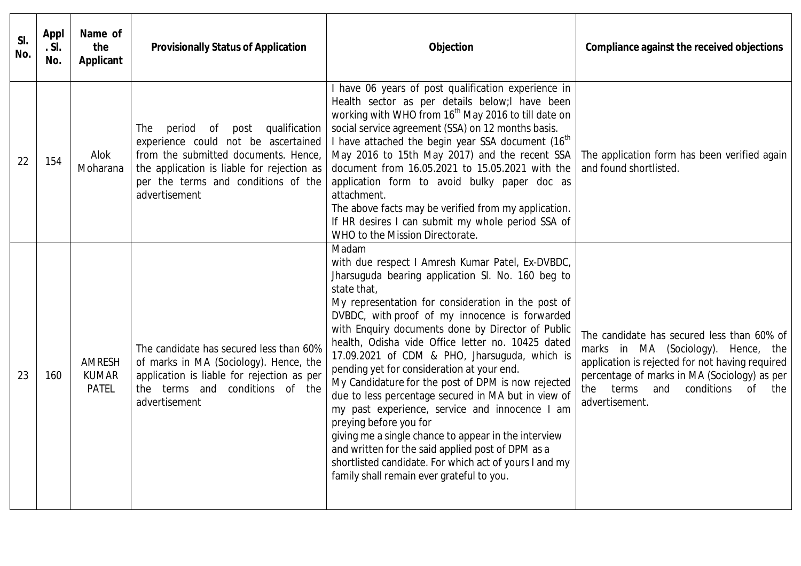| SI.<br>No. | Appl<br>.S.<br>No. | Name of<br>the<br><b>Applicant</b>            | <b>Provisionally Status of Application</b>                                                                                                                                                                                     | Objection                                                                                                                                                                                                                                                                                                                                                                                                                                                                                                                                                                                                                                                                                                                                                                                                                                                   | Compliance against the received objections                                                                                                                                                                                                               |
|------------|--------------------|-----------------------------------------------|--------------------------------------------------------------------------------------------------------------------------------------------------------------------------------------------------------------------------------|-------------------------------------------------------------------------------------------------------------------------------------------------------------------------------------------------------------------------------------------------------------------------------------------------------------------------------------------------------------------------------------------------------------------------------------------------------------------------------------------------------------------------------------------------------------------------------------------------------------------------------------------------------------------------------------------------------------------------------------------------------------------------------------------------------------------------------------------------------------|----------------------------------------------------------------------------------------------------------------------------------------------------------------------------------------------------------------------------------------------------------|
| 22         | 154                | Alok<br>Moharana                              | qualification<br>The<br>period of<br>post<br>experience could not be ascertained<br>from the submitted documents. Hence,<br>the application is liable for rejection as<br>per the terms and conditions of the<br>advertisement | I have 06 years of post qualification experience in<br>Health sector as per details below; lhave been<br>working with WHO from 16 <sup>th</sup> May 2016 to till date on<br>social service agreement (SSA) on 12 months basis.<br>I have attached the begin year SSA document (16 <sup>th</sup> )<br>May 2016 to 15th May 2017) and the recent SSA<br>document from 16.05.2021 to 15.05.2021 with the<br>application form to avoid bulky paper doc as<br>attachment.<br>The above facts may be verified from my application.<br>If HR desires I can submit my whole period SSA of<br>WHO to the Mission Directorate.                                                                                                                                                                                                                                        | The application form has been verified again<br>and found shortlisted.                                                                                                                                                                                   |
| 23         | 160                | <b>AMRESH</b><br><b>KUMAR</b><br><b>PATEL</b> | The candidate has secured less than 60%<br>of marks in MA (Sociology). Hence, the<br>application is liable for rejection as per<br>the terms and conditions of the<br>advertisement                                            | Madam<br>with due respect I Amresh Kumar Patel, Ex-DVBDC,<br>Jharsuguda bearing application SI. No. 160 beg to<br>state that,<br>My representation for consideration in the post of<br>DVBDC, with proof of my innocence is forwarded<br>with Enquiry documents done by Director of Public<br>health, Odisha vide Office letter no. 10425 dated<br>17.09.2021 of CDM & PHO, Jharsuguda, which is<br>pending yet for consideration at your end.<br>My Candidature for the post of DPM is now rejected<br>due to less percentage secured in MA but in view of<br>my past experience, service and innocence I am<br>preying before you for<br>giving me a single chance to appear in the interview<br>and written for the said applied post of DPM as a<br>shortlisted candidate. For which act of yours I and my<br>family shall remain ever grateful to you. | The candidate has secured less than 60% of<br>marks in MA (Sociology). Hence, the<br>application is rejected for not having required<br>percentage of marks in MA (Sociology) as per<br>conditions<br>terms<br>and<br>of<br>the<br>the<br>advertisement. |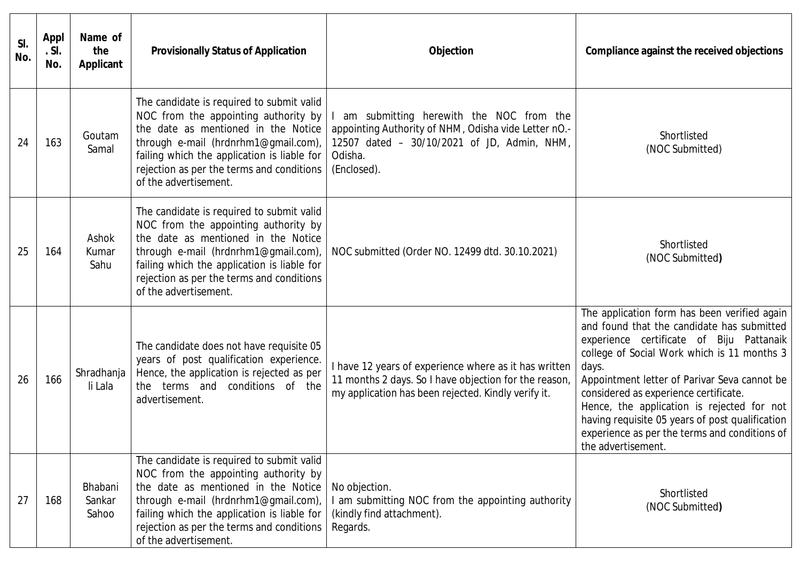| SI.<br>No. | <b>Appl</b><br>. SI.<br>No. | Name of<br>the<br><b>Applicant</b> | <b>Provisionally Status of Application</b>                                                                                                                                                                                                                                            | Objection                                                                                                                                                                | Compliance against the received objections                                                                                                                                                                                                                                                                                                                                                                                                                      |
|------------|-----------------------------|------------------------------------|---------------------------------------------------------------------------------------------------------------------------------------------------------------------------------------------------------------------------------------------------------------------------------------|--------------------------------------------------------------------------------------------------------------------------------------------------------------------------|-----------------------------------------------------------------------------------------------------------------------------------------------------------------------------------------------------------------------------------------------------------------------------------------------------------------------------------------------------------------------------------------------------------------------------------------------------------------|
| 24         | 163                         | Goutam<br>Samal                    | The candidate is required to submit valid<br>NOC from the appointing authority by<br>the date as mentioned in the Notice<br>through e-mail (hrdnrhm1@gmail.com),<br>failing which the application is liable for<br>rejection as per the terms and conditions<br>of the advertisement. | am submitting herewith the NOC from the<br>appointing Authority of NHM, Odisha vide Letter nO.-<br>12507 dated - 30/10/2021 of JD, Admin, NHM,<br>Odisha.<br>(Enclosed). | Shortlisted<br>(NOC Submitted)                                                                                                                                                                                                                                                                                                                                                                                                                                  |
| 25         | 164                         | Ashok<br>Kumar<br>Sahu             | The candidate is required to submit valid<br>NOC from the appointing authority by<br>the date as mentioned in the Notice<br>through e-mail (hrdnrhm1@gmail.com),<br>failing which the application is liable for<br>rejection as per the terms and conditions<br>of the advertisement. | NOC submitted (Order NO. 12499 dtd. 30.10.2021)                                                                                                                          | Shortlisted<br>(NOC Submitted)                                                                                                                                                                                                                                                                                                                                                                                                                                  |
| 26         | 166                         | Shradhanja<br>li Lala              | The candidate does not have requisite 05<br>years of post qualification experience.<br>Hence, the application is rejected as per<br>the terms and conditions of the<br>advertisement.                                                                                                 | I have 12 years of experience where as it has written<br>11 months 2 days. So I have objection for the reason,<br>my application has been rejected. Kindly verify it.    | The application form has been verified again<br>and found that the candidate has submitted<br>experience certificate of Biju Pattanaik<br>college of Social Work which is 11 months 3<br>days.<br>Appointment letter of Parivar Seva cannot be<br>considered as experience certificate.<br>Hence, the application is rejected for not<br>having requisite 05 years of post qualification<br>experience as per the terms and conditions of<br>the advertisement. |
| 27         | 168                         | Bhabani<br>Sankar<br>Sahoo         | The candidate is required to submit valid<br>NOC from the appointing authority by<br>the date as mentioned in the Notice<br>through e-mail (hrdnrhm1@gmail.com),<br>failing which the application is liable for<br>rejection as per the terms and conditions<br>of the advertisement. | No objection.<br>I am submitting NOC from the appointing authority<br>(kindly find attachment).<br>Regards.                                                              | Shortlisted<br>(NOC Submitted)                                                                                                                                                                                                                                                                                                                                                                                                                                  |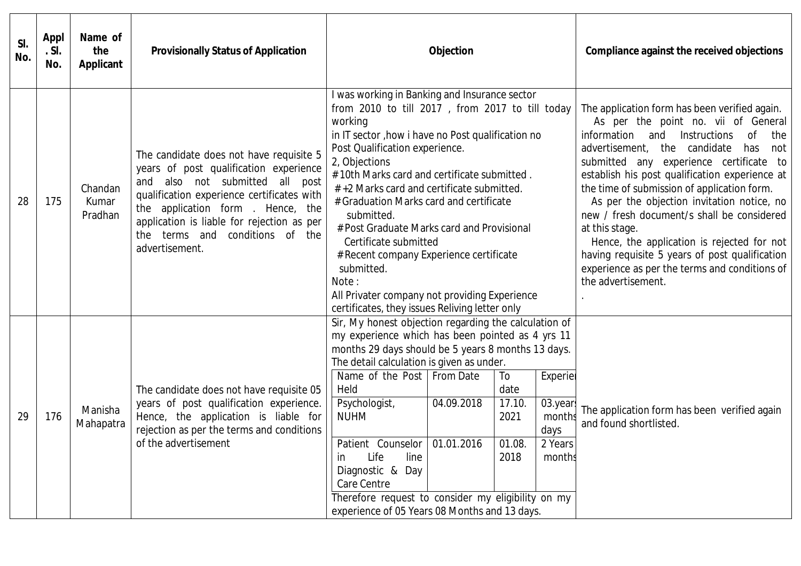| SI.<br>No. | <b>Appl</b><br>.S.<br>No. | Name of<br>the<br>Applicant | <b>Provisionally Status of Application</b>                                                                                                                                                                                                                                                                    |                                                                                                                                                                                                                                                                                                                                                                                                                                                                                                                                                                                                                      | Objection  |                                                                                                                                                                                                                                                                                                                                                                                                                                                                                                                                                                                                                     |                                                            | Compliance against the received objections                             |
|------------|---------------------------|-----------------------------|---------------------------------------------------------------------------------------------------------------------------------------------------------------------------------------------------------------------------------------------------------------------------------------------------------------|----------------------------------------------------------------------------------------------------------------------------------------------------------------------------------------------------------------------------------------------------------------------------------------------------------------------------------------------------------------------------------------------------------------------------------------------------------------------------------------------------------------------------------------------------------------------------------------------------------------------|------------|---------------------------------------------------------------------------------------------------------------------------------------------------------------------------------------------------------------------------------------------------------------------------------------------------------------------------------------------------------------------------------------------------------------------------------------------------------------------------------------------------------------------------------------------------------------------------------------------------------------------|------------------------------------------------------------|------------------------------------------------------------------------|
| 28         | 175                       | Chandan<br>Kumar<br>Pradhan | The candidate does not have requisite 5<br>years of post qualification experience<br>and also not submitted all post<br>qualification experience certificates with<br>the application form . Hence, the<br>application is liable for rejection as per<br>terms and conditions of the<br>the<br>advertisement. | I was working in Banking and Insurance sector<br>from 2010 to till 2017, from 2017 to till today<br>working<br>in IT sector, how i have no Post qualification no<br>Post Qualification experience.<br>2, Objections<br>#10th Marks card and certificate submitted.<br>#+2 Marks card and certificate submitted.<br># Graduation Marks card and certificate<br>submitted.<br># Post Graduate Marks card and Provisional<br>Certificate submitted<br># Recent company Experience certificate<br>submitted.<br>Note:<br>All Privater company not providing Experience<br>certificates, they issues Reliving letter only |            | The application form has been verified again.<br>As per the point no. vii of General<br>information and Instructions<br>0f<br>the<br>the candidate<br>advertisement,<br>has<br>not<br>submitted any experience certificate to<br>establish his post qualification experience at<br>the time of submission of application form.<br>As per the objection invitation notice, no<br>new / fresh document/s shall be considered<br>at this stage.<br>Hence, the application is rejected for not<br>having requisite 5 years of post qualification<br>experience as per the terms and conditions of<br>the advertisement. |                                                            |                                                                        |
| 29         | 176                       | Manisha<br>Mahapatra        | The candidate does not have requisite 05<br>years of post qualification experience.<br>Hence, the application is liable for<br>rejection as per the terms and conditions<br>of the advertisement                                                                                                              | Sir, My honest objection regarding the calculation of<br>my experience which has been pointed as 4 yrs 11<br>months 29 days should be 5 years 8 months 13 days.<br>The detail calculation is given as under.<br>Name of the Post   From Date<br>Held<br>Psychologist,<br><b>NUHM</b><br>Patient Counselor 01.01.2016<br>Life<br>line<br><i>in</i><br>Diagnostic & Day<br>Care Centre<br>Therefore request to consider my eligibility on my<br>experience of 05 Years 08 Months and 13 days.                                                                                                                          | 04.09.2018 | To<br>date<br>17.10.<br>2021<br>01.08.<br>2018                                                                                                                                                                                                                                                                                                                                                                                                                                                                                                                                                                      | Experier<br>03.year<br>months<br>days<br>2 Years<br>months | The application form has been verified again<br>and found shortlisted. |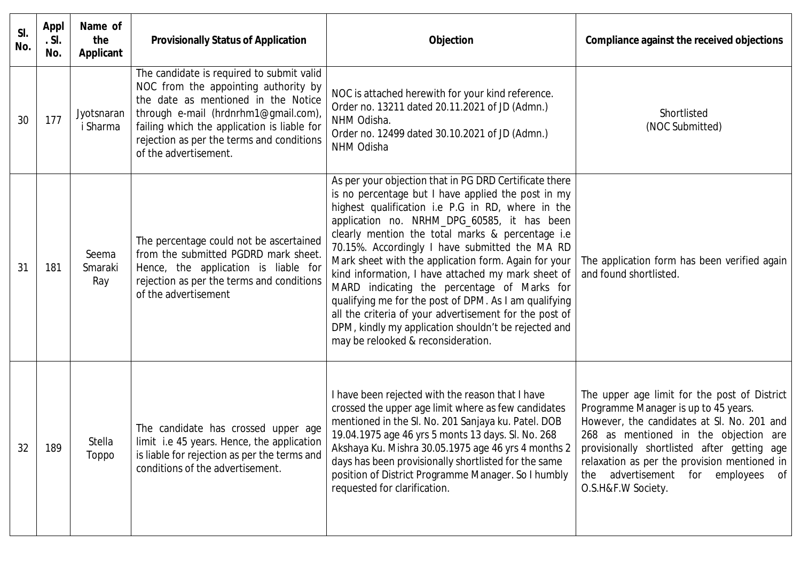| SI.<br>No. | Appl<br>. SI.<br>No. | Name of<br>the<br><b>Applicant</b> | <b>Provisionally Status of Application</b>                                                                                                                                                                                                                                            | Objection                                                                                                                                                                                                                                                                                                                                                                                                                                                                                                                                                                                                                                                                                            | Compliance against the received objections                                                                                                                                                                                                                                                                                                |
|------------|----------------------|------------------------------------|---------------------------------------------------------------------------------------------------------------------------------------------------------------------------------------------------------------------------------------------------------------------------------------|------------------------------------------------------------------------------------------------------------------------------------------------------------------------------------------------------------------------------------------------------------------------------------------------------------------------------------------------------------------------------------------------------------------------------------------------------------------------------------------------------------------------------------------------------------------------------------------------------------------------------------------------------------------------------------------------------|-------------------------------------------------------------------------------------------------------------------------------------------------------------------------------------------------------------------------------------------------------------------------------------------------------------------------------------------|
| 30         | 177                  | Jyotsnaran<br>i Sharma             | The candidate is required to submit valid<br>NOC from the appointing authority by<br>the date as mentioned in the Notice<br>through e-mail (hrdnrhm1@gmail.com),<br>failing which the application is liable for<br>rejection as per the terms and conditions<br>of the advertisement. | NOC is attached herewith for your kind reference.<br>Order no. 13211 dated 20.11.2021 of JD (Admn.)<br>NHM Odisha.<br>Order no. 12499 dated 30.10.2021 of JD (Admn.)<br>NHM Odisha                                                                                                                                                                                                                                                                                                                                                                                                                                                                                                                   | Shortlisted<br>(NOC Submitted)                                                                                                                                                                                                                                                                                                            |
| 31         | 181                  | Seema<br>Smaraki<br>Ray            | The percentage could not be ascertained<br>from the submitted PGDRD mark sheet.<br>Hence, the application is liable for<br>rejection as per the terms and conditions<br>of the advertisement                                                                                          | As per your objection that in PG DRD Certificate there<br>is no percentage but I have applied the post in my<br>highest qualification i.e P.G in RD, where in the<br>application no. NRHM_DPG_60585, it has been<br>clearly mention the total marks & percentage i.e<br>70.15%. Accordingly I have submitted the MA RD<br>Mark sheet with the application form. Again for your<br>kind information, I have attached my mark sheet of<br>MARD indicating the percentage of Marks for<br>qualifying me for the post of DPM. As I am qualifying<br>all the criteria of your advertisement for the post of<br>DPM, kindly my application shouldn't be rejected and<br>may be relooked & reconsideration. | The application form has been verified again<br>and found shortlisted.                                                                                                                                                                                                                                                                    |
| 32         | 189                  | Stella<br>Toppo                    | The candidate has crossed upper age<br>limit i.e 45 years. Hence, the application<br>is liable for rejection as per the terms and<br>conditions of the advertisement.                                                                                                                 | I have been rejected with the reason that I have<br>crossed the upper age limit where as few candidates<br>mentioned in the SI. No. 201 Sanjaya ku. Patel. DOB<br>19.04.1975 age 46 yrs 5 monts 13 days. Sl. No. 268<br>Akshaya Ku. Mishra 30.05.1975 age 46 yrs 4 months 2<br>days has been provisionally shortlisted for the same<br>position of District Programme Manager. So I humbly<br>requested for clarification.                                                                                                                                                                                                                                                                           | The upper age limit for the post of District<br>Programme Manager is up to 45 years.<br>However, the candidates at SI. No. 201 and<br>268 as mentioned in the objection are<br>provisionally shortlisted after getting age<br>relaxation as per the provision mentioned in<br>the advertisement for employees<br>of<br>O.S.H&F.W Society. |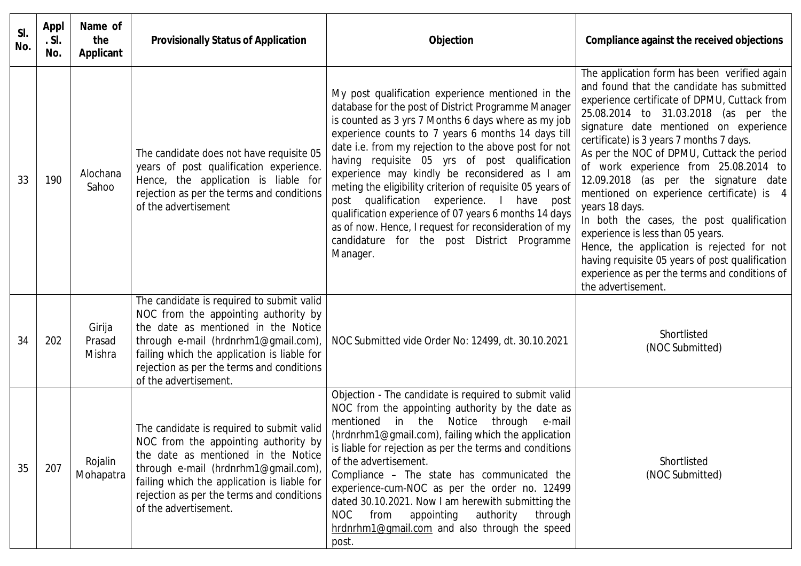| SI.<br>No. | Appl<br>.S.<br>No. | Name of<br>the<br><b>Applicant</b> | <b>Provisionally Status of Application</b>                                                                                                                                                                                                                                            | Objection                                                                                                                                                                                                                                                                                                                                                                                                                                                                                                                                                                                                                                                                | Compliance against the received objections                                                                                                                                                                                                                                                                                                                                                                                                                                                                                                                                                                                                                                                                                        |
|------------|--------------------|------------------------------------|---------------------------------------------------------------------------------------------------------------------------------------------------------------------------------------------------------------------------------------------------------------------------------------|--------------------------------------------------------------------------------------------------------------------------------------------------------------------------------------------------------------------------------------------------------------------------------------------------------------------------------------------------------------------------------------------------------------------------------------------------------------------------------------------------------------------------------------------------------------------------------------------------------------------------------------------------------------------------|-----------------------------------------------------------------------------------------------------------------------------------------------------------------------------------------------------------------------------------------------------------------------------------------------------------------------------------------------------------------------------------------------------------------------------------------------------------------------------------------------------------------------------------------------------------------------------------------------------------------------------------------------------------------------------------------------------------------------------------|
| 33         | 190                | Alochana<br>Sahoo                  | The candidate does not have requisite 05<br>years of post qualification experience.<br>Hence, the application is liable for<br>rejection as per the terms and conditions<br>of the advertisement                                                                                      | My post qualification experience mentioned in the<br>database for the post of District Programme Manager<br>is counted as 3 yrs 7 Months 6 days where as my job<br>experience counts to 7 years 6 months 14 days till<br>date i.e. from my rejection to the above post for not<br>having requisite 05 yrs of post qualification<br>experience may kindly be reconsidered as I am<br>meting the eligibility criterion of requisite 05 years of<br>post qualification experience. I have post<br>qualification experience of 07 years 6 months 14 days<br>as of now. Hence, I request for reconsideration of my<br>candidature for the post District Programme<br>Manager. | The application form has been verified again<br>and found that the candidate has submitted<br>experience certificate of DPMU, Cuttack from<br>25.08.2014 to 31.03.2018 (as per the<br>signature date mentioned on experience<br>certificate) is 3 years 7 months 7 days.<br>As per the NOC of DPMU, Cuttack the period<br>of work experience from 25.08.2014 to<br>12.09.2018 (as per the signature date<br>mentioned on experience certificate) is 4<br>years 18 days.<br>In both the cases, the post qualification<br>experience is less than 05 years.<br>Hence, the application is rejected for not<br>having requisite 05 years of post qualification<br>experience as per the terms and conditions of<br>the advertisement. |
| 34         | 202                | Girija<br>Prasad<br>Mishra         | The candidate is required to submit valid<br>NOC from the appointing authority by<br>the date as mentioned in the Notice<br>through e-mail (hrdnrhm1@gmail.com),<br>failing which the application is liable for<br>rejection as per the terms and conditions<br>of the advertisement. | NOC Submitted vide Order No: 12499, dt. 30.10.2021                                                                                                                                                                                                                                                                                                                                                                                                                                                                                                                                                                                                                       | Shortlisted<br>(NOC Submitted)                                                                                                                                                                                                                                                                                                                                                                                                                                                                                                                                                                                                                                                                                                    |
| 35         | 207                | Rojalin<br>Mohapatra               | The candidate is required to submit valid<br>NOC from the appointing authority by<br>the date as mentioned in the Notice<br>through e-mail (hrdnrhm1@gmail.com),<br>failing which the application is liable for<br>rejection as per the terms and conditions<br>of the advertisement. | Objection - The candidate is required to submit valid<br>NOC from the appointing authority by the date as<br>Notice<br>through<br>mentioned in the<br>e-mail<br>(hrdnrhm1@gmail.com), failing which the application<br>is liable for rejection as per the terms and conditions<br>of the advertisement.<br>Compliance - The state has communicated the<br>experience-cum-NOC as per the order no. 12499<br>dated 30.10.2021. Now I am herewith submitting the<br><b>NOC</b><br>appointing<br>authority<br>from<br>through<br>hrdnrhm1@gmail.com and also through the speed<br>post.                                                                                      | Shortlisted<br>(NOC Submitted)                                                                                                                                                                                                                                                                                                                                                                                                                                                                                                                                                                                                                                                                                                    |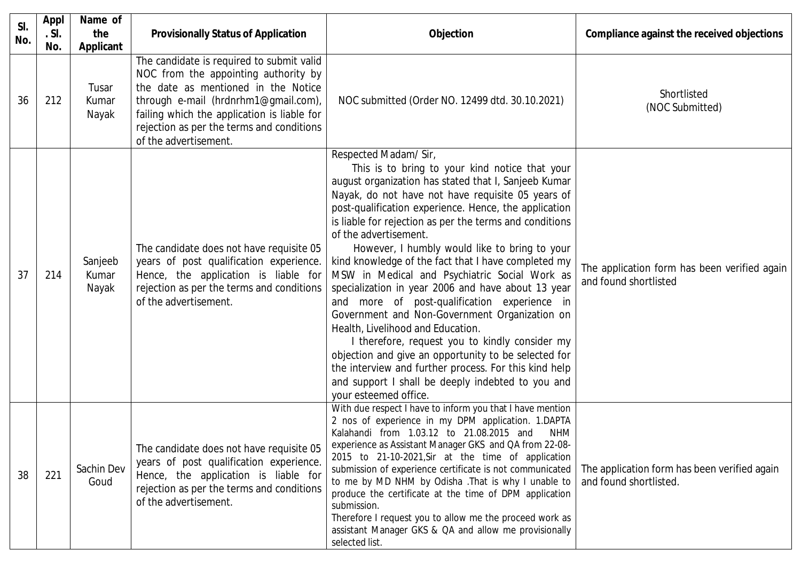| SI.<br>No. | <b>Appl</b><br>.S. | Name of<br>the                       | <b>Provisionally Status of Application</b>                                                                                                                                                                                                                                            | <b>Objection</b>                                                                                                                                                                                                                                                                                                                                                                                                                                                                                                                                                                                                                                                                                                                                                                                                                                                                                                                        | Compliance against the received objections                             |
|------------|--------------------|--------------------------------------|---------------------------------------------------------------------------------------------------------------------------------------------------------------------------------------------------------------------------------------------------------------------------------------|-----------------------------------------------------------------------------------------------------------------------------------------------------------------------------------------------------------------------------------------------------------------------------------------------------------------------------------------------------------------------------------------------------------------------------------------------------------------------------------------------------------------------------------------------------------------------------------------------------------------------------------------------------------------------------------------------------------------------------------------------------------------------------------------------------------------------------------------------------------------------------------------------------------------------------------------|------------------------------------------------------------------------|
| 36         | No.<br>212         | Applicant<br>Tusar<br>Kumar<br>Nayak | The candidate is required to submit valid<br>NOC from the appointing authority by<br>the date as mentioned in the Notice<br>through e-mail (hrdnrhm1@gmail.com),<br>failing which the application is liable for<br>rejection as per the terms and conditions<br>of the advertisement. | NOC submitted (Order NO. 12499 dtd. 30.10.2021)                                                                                                                                                                                                                                                                                                                                                                                                                                                                                                                                                                                                                                                                                                                                                                                                                                                                                         | Shortlisted<br>(NOC Submitted)                                         |
| 37         | 214                | Sanjeeb<br>Kumar<br>Nayak            | The candidate does not have requisite 05<br>years of post qualification experience.<br>Hence, the application is liable for<br>rejection as per the terms and conditions<br>of the advertisement.                                                                                     | Respected Madam/ Sir,<br>This is to bring to your kind notice that your<br>august organization has stated that I, Sanjeeb Kumar<br>Nayak, do not have not have requisite 05 years of<br>post-qualification experience. Hence, the application<br>is liable for rejection as per the terms and conditions<br>of the advertisement.<br>However, I humbly would like to bring to your<br>kind knowledge of the fact that I have completed my<br>MSW in Medical and Psychiatric Social Work as<br>specialization in year 2006 and have about 13 year<br>and more of post-qualification experience in<br>Government and Non-Government Organization on<br>Health, Livelihood and Education.<br>I therefore, request you to kindly consider my<br>objection and give an opportunity to be selected for<br>the interview and further process. For this kind help<br>and support I shall be deeply indebted to you and<br>your esteemed office. | The application form has been verified again<br>and found shortlisted  |
| 38         | 221                | Sachin Dev<br>Goud                   | The candidate does not have requisite 05<br>years of post qualification experience.<br>Hence, the application is liable for<br>rejection as per the terms and conditions<br>of the advertisement.                                                                                     | With due respect I have to inform you that I have mention<br>2 nos of experience in my DPM application. 1.DAPTA<br>Kalahandi from 1.03.12 to 21.08.2015 and<br><b>NHM</b><br>experience as Assistant Manager GKS and QA from 22-08-<br>2015 to 21-10-2021, Sir at the time of application<br>submission of experience certificate is not communicated<br>to me by MD NHM by Odisha . That is why I unable to<br>produce the certificate at the time of DPM application<br>submission.<br>Therefore I request you to allow me the proceed work as<br>assistant Manager GKS & QA and allow me provisionally<br>selected list.                                                                                                                                                                                                                                                                                                             | The application form has been verified again<br>and found shortlisted. |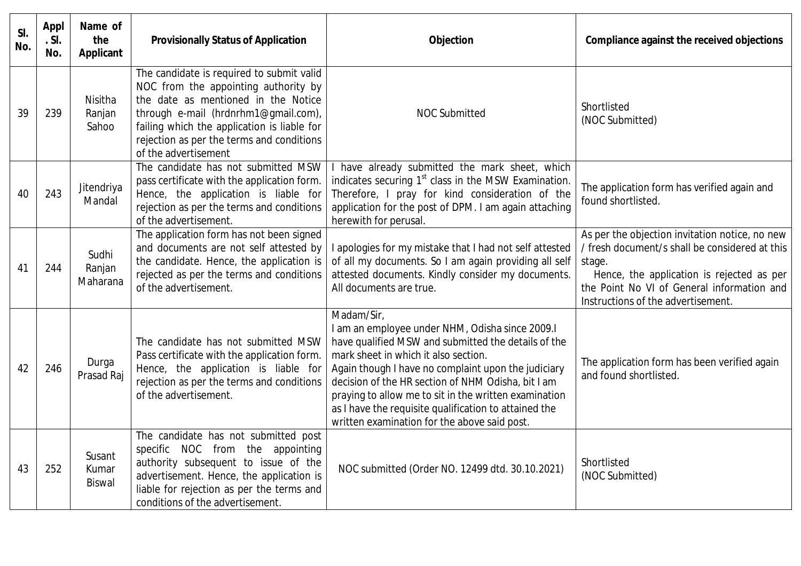| SI.<br>No. | <b>Appl</b><br>.S.<br>No. | Name of<br>the<br>Applicant      | <b>Provisionally Status of Application</b>                                                                                                                                                                                                                                           | Objection                                                                                                                                                                                                                                                                                                                                                                                                                                   | Compliance against the received objections                                                                                                                                                                                                  |
|------------|---------------------------|----------------------------------|--------------------------------------------------------------------------------------------------------------------------------------------------------------------------------------------------------------------------------------------------------------------------------------|---------------------------------------------------------------------------------------------------------------------------------------------------------------------------------------------------------------------------------------------------------------------------------------------------------------------------------------------------------------------------------------------------------------------------------------------|---------------------------------------------------------------------------------------------------------------------------------------------------------------------------------------------------------------------------------------------|
| 39         | 239                       | Nisitha<br>Ranjan<br>Sahoo       | The candidate is required to submit valid<br>NOC from the appointing authority by<br>the date as mentioned in the Notice<br>through e-mail (hrdnrhm1@gmail.com),<br>failing which the application is liable for<br>rejection as per the terms and conditions<br>of the advertisement | <b>NOC Submitted</b>                                                                                                                                                                                                                                                                                                                                                                                                                        | Shortlisted<br>(NOC Submitted)                                                                                                                                                                                                              |
| 40         | 243                       | Jitendriya<br>Mandal             | The candidate has not submitted MSW<br>pass certificate with the application form.<br>Hence, the application is liable for<br>rejection as per the terms and conditions<br>of the advertisement.                                                                                     | I have already submitted the mark sheet, which<br>indicates securing 1 <sup>st</sup> class in the MSW Examination.<br>Therefore, I pray for kind consideration of the<br>application for the post of DPM. I am again attaching<br>herewith for perusal.                                                                                                                                                                                     | The application form has verified again and<br>found shortlisted.                                                                                                                                                                           |
| 41         | 244                       | Sudhi<br>Ranjan<br>Maharana      | The application form has not been signed<br>and documents are not self attested by<br>the candidate. Hence, the application is<br>rejected as per the terms and conditions<br>of the advertisement.                                                                                  | I apologies for my mistake that I had not self attested<br>of all my documents. So I am again providing all self<br>attested documents. Kindly consider my documents.<br>All documents are true.                                                                                                                                                                                                                                            | As per the objection invitation notice, no new<br>/ fresh document/s shall be considered at this<br>stage.<br>Hence, the application is rejected as per<br>the Point No VI of General information and<br>Instructions of the advertisement. |
| 42         | 246                       | Durga<br>Prasad Raj              | The candidate has not submitted MSW<br>Pass certificate with the application form.<br>Hence, the application is liable for<br>rejection as per the terms and conditions<br>of the advertisement.                                                                                     | Madam/Sir,<br>I am an employee under NHM, Odisha since 2009.I<br>have qualified MSW and submitted the details of the<br>mark sheet in which it also section.<br>Again though I have no complaint upon the judiciary<br>decision of the HR section of NHM Odisha, bit I am<br>praying to allow me to sit in the written examination<br>as I have the requisite qualification to attained the<br>written examination for the above said post. | The application form has been verified again<br>and found shortlisted.                                                                                                                                                                      |
| 43         | 252                       | Susant<br>Kumar<br><b>Biswal</b> | The candidate has not submitted post<br>specific NOC from the appointing<br>authority subsequent to issue of the<br>advertisement. Hence, the application is<br>liable for rejection as per the terms and<br>conditions of the advertisement.                                        | NOC submitted (Order NO. 12499 dtd. 30.10.2021)                                                                                                                                                                                                                                                                                                                                                                                             | Shortlisted<br>(NOC Submitted)                                                                                                                                                                                                              |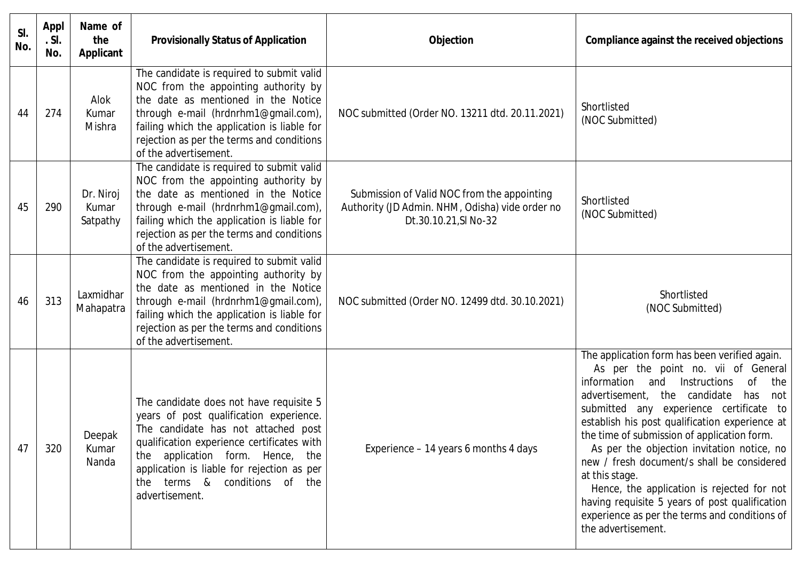| SI.<br>No. | <b>Appl</b><br>.S.<br>No. | Name of<br>the<br><b>Applicant</b> | <b>Provisionally Status of Application</b>                                                                                                                                                                                                                                                                      | Objection                                                                                                               | Compliance against the received objections                                                                                                                                                                                                                                                                                                                                                                                                                                                                                                                                                                          |
|------------|---------------------------|------------------------------------|-----------------------------------------------------------------------------------------------------------------------------------------------------------------------------------------------------------------------------------------------------------------------------------------------------------------|-------------------------------------------------------------------------------------------------------------------------|---------------------------------------------------------------------------------------------------------------------------------------------------------------------------------------------------------------------------------------------------------------------------------------------------------------------------------------------------------------------------------------------------------------------------------------------------------------------------------------------------------------------------------------------------------------------------------------------------------------------|
| 44         | 274                       | Alok<br>Kumar<br>Mishra            | The candidate is required to submit valid<br>NOC from the appointing authority by<br>the date as mentioned in the Notice<br>through e-mail (hrdnrhm1@gmail.com),<br>failing which the application is liable for<br>rejection as per the terms and conditions<br>of the advertisement.                           | NOC submitted (Order NO. 13211 dtd. 20.11.2021)                                                                         | Shortlisted<br>(NOC Submitted)                                                                                                                                                                                                                                                                                                                                                                                                                                                                                                                                                                                      |
| 45         | 290                       | Dr. Niroj<br>Kumar<br>Satpathy     | The candidate is required to submit valid<br>NOC from the appointing authority by<br>the date as mentioned in the Notice<br>through e-mail (hrdnrhm1@gmail.com),<br>failing which the application is liable for<br>rejection as per the terms and conditions<br>of the advertisement.                           | Submission of Valid NOC from the appointing<br>Authority (JD Admin. NHM, Odisha) vide order no<br>Dt.30.10.21, SI No-32 | Shortlisted<br>(NOC Submitted)                                                                                                                                                                                                                                                                                                                                                                                                                                                                                                                                                                                      |
| 46         | 313                       | Laxmidhar<br>Mahapatra             | The candidate is required to submit valid<br>NOC from the appointing authority by<br>the date as mentioned in the Notice<br>through e-mail (hrdnrhm1@gmail.com),<br>failing which the application is liable for<br>rejection as per the terms and conditions<br>of the advertisement.                           | NOC submitted (Order NO. 12499 dtd. 30.10.2021)                                                                         | Shortlisted<br>(NOC Submitted)                                                                                                                                                                                                                                                                                                                                                                                                                                                                                                                                                                                      |
| 47         | 320                       | Deepak<br>Kumar<br>Nanda           | The candidate does not have requisite 5<br>years of post qualification experience.<br>The candidate has not attached post<br>qualification experience certificates with<br>the application form. Hence, the<br>application is liable for rejection as per<br>terms & conditions of the<br>the<br>advertisement. | Experience – 14 years 6 months 4 days                                                                                   | The application form has been verified again.<br>As per the point no. vii of General<br>information and<br>Instructions<br>0f<br>the<br>advertisement, the candidate<br>has<br>not<br>submitted any experience certificate to<br>establish his post qualification experience at<br>the time of submission of application form.<br>As per the objection invitation notice, no<br>new / fresh document/s shall be considered<br>at this stage.<br>Hence, the application is rejected for not<br>having requisite 5 years of post qualification<br>experience as per the terms and conditions of<br>the advertisement. |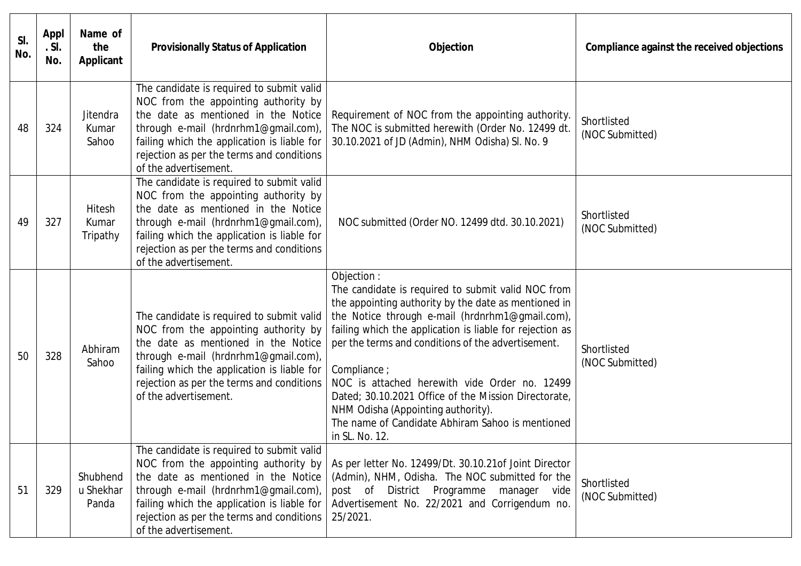| SI.<br>No. | Appl<br>. SI.<br>No. | Name of<br>the<br>Applicant    | <b>Provisionally Status of Application</b>                                                                                                                                                                                                                                            | Objection                                                                                                                                                                                                                                                                                                                                                                                                                                                                                                                           | Compliance against the received objections |
|------------|----------------------|--------------------------------|---------------------------------------------------------------------------------------------------------------------------------------------------------------------------------------------------------------------------------------------------------------------------------------|-------------------------------------------------------------------------------------------------------------------------------------------------------------------------------------------------------------------------------------------------------------------------------------------------------------------------------------------------------------------------------------------------------------------------------------------------------------------------------------------------------------------------------------|--------------------------------------------|
| 48         | 324                  | Jitendra<br>Kumar<br>Sahoo     | The candidate is required to submit valid<br>NOC from the appointing authority by<br>the date as mentioned in the Notice<br>through e-mail (hrdnrhm1@gmail.com),<br>failing which the application is liable for<br>rejection as per the terms and conditions<br>of the advertisement. | Requirement of NOC from the appointing authority.<br>The NOC is submitted herewith (Order No. 12499 dt.<br>30.10.2021 of JD (Admin), NHM Odisha) SI. No. 9                                                                                                                                                                                                                                                                                                                                                                          | Shortlisted<br>(NOC Submitted)             |
| 49         | 327                  | Hitesh<br>Kumar<br>Tripathy    | The candidate is required to submit valid<br>NOC from the appointing authority by<br>the date as mentioned in the Notice<br>through e-mail (hrdnrhm1@gmail.com),<br>failing which the application is liable for<br>rejection as per the terms and conditions<br>of the advertisement. | NOC submitted (Order NO. 12499 dtd. 30.10.2021)                                                                                                                                                                                                                                                                                                                                                                                                                                                                                     | Shortlisted<br>(NOC Submitted)             |
| 50         | 328                  | Abhiram<br>Sahoo               | The candidate is required to submit valid<br>NOC from the appointing authority by<br>the date as mentioned in the Notice<br>through e-mail (hrdnrhm1@gmail.com),<br>failing which the application is liable for<br>rejection as per the terms and conditions<br>of the advertisement. | Objection :<br>The candidate is required to submit valid NOC from<br>the appointing authority by the date as mentioned in<br>the Notice through e-mail (hrdnrhm1@gmail.com),<br>failing which the application is liable for rejection as<br>per the terms and conditions of the advertisement.<br>Compliance ;<br>NOC is attached herewith vide Order no. 12499<br>Dated; 30.10.2021 Office of the Mission Directorate,<br>NHM Odisha (Appointing authority).<br>The name of Candidate Abhiram Sahoo is mentioned<br>in SL. No. 12. | Shortlisted<br>(NOC Submitted)             |
| 51         | 329                  | Shubhend<br>u Shekhar<br>Panda | The candidate is required to submit valid<br>NOC from the appointing authority by<br>the date as mentioned in the Notice<br>through e-mail (hrdnrhm1@gmail.com),<br>failing which the application is liable for<br>rejection as per the terms and conditions<br>of the advertisement. | As per letter No. 12499/Dt. 30.10.21 of Joint Director<br>(Admin), NHM, Odisha. The NOC submitted for the<br>post of District Programme<br>manager<br>vide<br>Advertisement No. 22/2021 and Corrigendum no.<br>25/2021.                                                                                                                                                                                                                                                                                                             | Shortlisted<br>(NOC Submitted)             |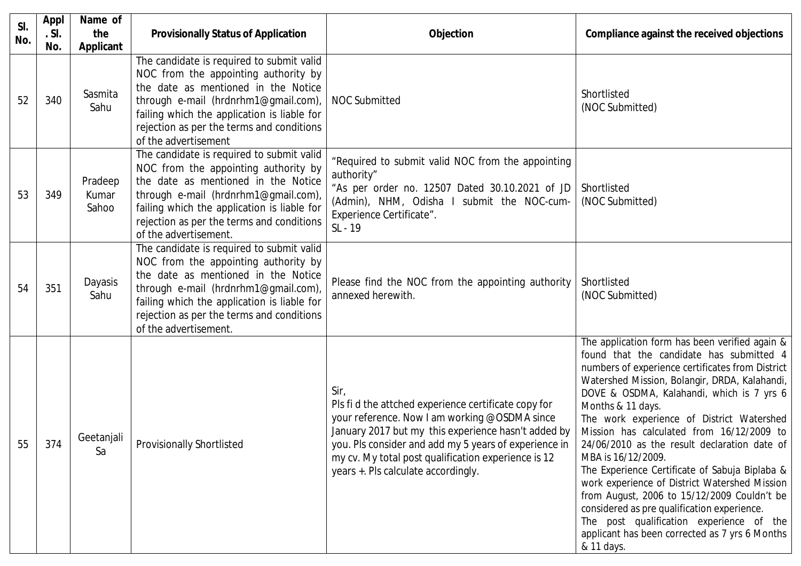| SI.<br>No. | <b>Appl</b><br>.S. | Name of<br>the            | <b>Provisionally Status of Application</b>                                                                                                                                                                                                                                            | <b>Objection</b>                                                                                                                                                                                                                                                                                                            | Compliance against the received objections                                                                                                                                                                                                                                                                                                                                                                                                                                                                                                                                                                                                                                                                                                     |
|------------|--------------------|---------------------------|---------------------------------------------------------------------------------------------------------------------------------------------------------------------------------------------------------------------------------------------------------------------------------------|-----------------------------------------------------------------------------------------------------------------------------------------------------------------------------------------------------------------------------------------------------------------------------------------------------------------------------|------------------------------------------------------------------------------------------------------------------------------------------------------------------------------------------------------------------------------------------------------------------------------------------------------------------------------------------------------------------------------------------------------------------------------------------------------------------------------------------------------------------------------------------------------------------------------------------------------------------------------------------------------------------------------------------------------------------------------------------------|
|            | No.                | Applicant                 | The candidate is required to submit valid<br>NOC from the appointing authority by                                                                                                                                                                                                     |                                                                                                                                                                                                                                                                                                                             |                                                                                                                                                                                                                                                                                                                                                                                                                                                                                                                                                                                                                                                                                                                                                |
| 52         | 340                | Sasmita<br>Sahu           | the date as mentioned in the Notice<br>through e-mail (hrdnrhm1@gmail.com),<br>failing which the application is liable for<br>rejection as per the terms and conditions<br>of the advertisement                                                                                       | <b>NOC Submitted</b>                                                                                                                                                                                                                                                                                                        | Shortlisted<br>(NOC Submitted)                                                                                                                                                                                                                                                                                                                                                                                                                                                                                                                                                                                                                                                                                                                 |
| 53         | 349                | Pradeep<br>Kumar<br>Sahoo | The candidate is required to submit valid<br>NOC from the appointing authority by<br>the date as mentioned in the Notice<br>through e-mail (hrdnrhm1@gmail.com),<br>failing which the application is liable for<br>rejection as per the terms and conditions<br>of the advertisement. | "Required to submit valid NOC from the appointing<br>authority"<br>"As per order no. 12507 Dated 30.10.2021 of JD<br>(Admin), NHM, Odisha I submit the NOC-cum-<br>Experience Certificate".<br>SL - 19                                                                                                                      | Shortlisted<br>(NOC Submitted)                                                                                                                                                                                                                                                                                                                                                                                                                                                                                                                                                                                                                                                                                                                 |
| 54         | 351                | Dayasis<br>Sahu           | The candidate is required to submit valid<br>NOC from the appointing authority by<br>the date as mentioned in the Notice<br>through e-mail (hrdnrhm1@gmail.com),<br>failing which the application is liable for<br>rejection as per the terms and conditions<br>of the advertisement. | Please find the NOC from the appointing authority<br>annexed herewith.                                                                                                                                                                                                                                                      | Shortlisted<br>(NOC Submitted)                                                                                                                                                                                                                                                                                                                                                                                                                                                                                                                                                                                                                                                                                                                 |
| 55         | 374                | Geetanjali<br>Sa          | <b>Provisionally Shortlisted</b>                                                                                                                                                                                                                                                      | Sir,<br>Pls fi d the attched experience certificate copy for<br>your reference. Now I am working @OSDMA since<br>January 2017 but my this experience hasn't added by<br>you. Pls consider and add my 5 years of experience in<br>my cv. My total post qualification experience is 12<br>years +. Pls calculate accordingly. | The application form has been verified again &<br>found that the candidate has submitted 4<br>numbers of experience certificates from District<br>Watershed Mission, Bolangir, DRDA, Kalahandi,<br>DOVE & OSDMA, Kalahandi, which is 7 yrs 6<br>Months & 11 days.<br>The work experience of District Watershed<br>Mission has calculated from 16/12/2009 to<br>24/06/2010 as the result declaration date of<br>MBA is 16/12/2009.<br>The Experience Certificate of Sabuja Biplaba &<br>work experience of District Watershed Mission<br>from August, 2006 to 15/12/2009 Couldn't be<br>considered as pre qualification experience.<br>The post qualification experience of the<br>applicant has been corrected as 7 yrs 6 Months<br>& 11 days. |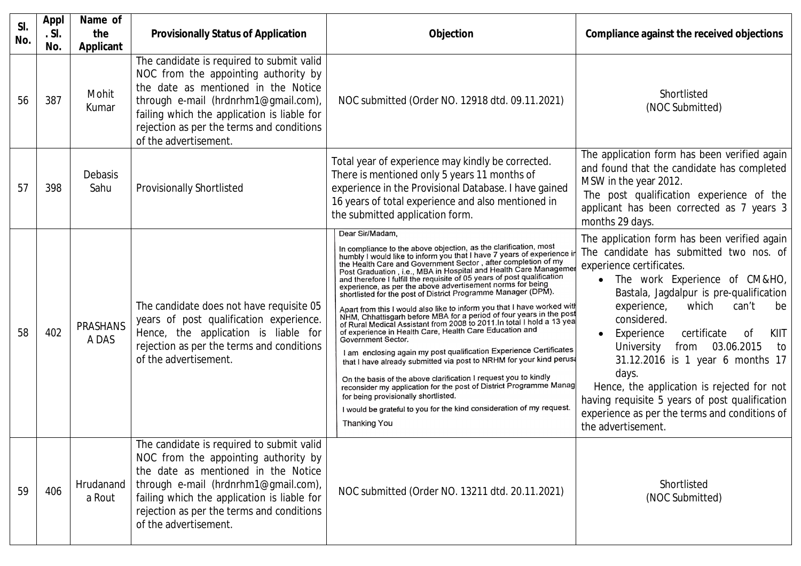| SI.<br>No. | <b>Appl</b><br>.S.<br>No. | Name of<br>the<br><b>Applicant</b> | <b>Provisionally Status of Application</b>                                                                                                                                                                                                                                            | <b>Objection</b>                                                                                                                                                                                                                                                                                                                                                                                                                                                                                                                                                                                                                                                                                                                                                                                                                                                                                                                                                                                                                                                                                                                                                                                                                                       | Compliance against the received objections                                                                                                                                                                                                                                                                                                                                                                                                                                                                                                                                             |
|------------|---------------------------|------------------------------------|---------------------------------------------------------------------------------------------------------------------------------------------------------------------------------------------------------------------------------------------------------------------------------------|--------------------------------------------------------------------------------------------------------------------------------------------------------------------------------------------------------------------------------------------------------------------------------------------------------------------------------------------------------------------------------------------------------------------------------------------------------------------------------------------------------------------------------------------------------------------------------------------------------------------------------------------------------------------------------------------------------------------------------------------------------------------------------------------------------------------------------------------------------------------------------------------------------------------------------------------------------------------------------------------------------------------------------------------------------------------------------------------------------------------------------------------------------------------------------------------------------------------------------------------------------|----------------------------------------------------------------------------------------------------------------------------------------------------------------------------------------------------------------------------------------------------------------------------------------------------------------------------------------------------------------------------------------------------------------------------------------------------------------------------------------------------------------------------------------------------------------------------------------|
| 56         | 387                       | Mohit<br>Kumar                     | The candidate is required to submit valid<br>NOC from the appointing authority by<br>the date as mentioned in the Notice<br>through e-mail (hrdnrhm1@gmail.com),<br>failing which the application is liable for<br>rejection as per the terms and conditions<br>of the advertisement. | NOC submitted (Order NO. 12918 dtd. 09.11.2021)                                                                                                                                                                                                                                                                                                                                                                                                                                                                                                                                                                                                                                                                                                                                                                                                                                                                                                                                                                                                                                                                                                                                                                                                        | Shortlisted<br>(NOC Submitted)                                                                                                                                                                                                                                                                                                                                                                                                                                                                                                                                                         |
| 57         | 398                       | Debasis<br>Sahu                    | <b>Provisionally Shortlisted</b>                                                                                                                                                                                                                                                      | Total year of experience may kindly be corrected.<br>There is mentioned only 5 years 11 months of<br>experience in the Provisional Database. I have gained<br>16 years of total experience and also mentioned in<br>the submitted application form.                                                                                                                                                                                                                                                                                                                                                                                                                                                                                                                                                                                                                                                                                                                                                                                                                                                                                                                                                                                                    | The application form has been verified again<br>and found that the candidate has completed<br>MSW in the year 2012.<br>The post qualification experience of the<br>applicant has been corrected as 7 years 3<br>months 29 days.                                                                                                                                                                                                                                                                                                                                                        |
| 58         | 402                       | <b>PRASHANS</b><br>A DAS           | The candidate does not have requisite 05<br>years of post qualification experience.<br>Hence, the application is liable for<br>rejection as per the terms and conditions<br>of the advertisement.                                                                                     | Dear Sir/Madam,<br>In compliance to the above objection, as the clarification, most<br>humbly I would like to inform you that I have 7 years of experience in<br>the Health Care and Government Sector, after completion of my<br>Post Graduation, i.e., MBA in Hospital and Health Care Managemen<br>and therefore I fulfill the requisite of 05 years of post qualification<br>experience, as per the above advertisement norms for being<br>shortlisted for the post of District Programme Manager (DPM).<br>Apart from this I would also like to inform you that I have worked with<br>NHM, Chhattisgarh before MBA for a period of four years in the post<br>of Rural Medical Assistant from 2008 to 2011. In total I hold a 13 yea<br>of experience in Health Care, Health Care Education and<br>Government Sector.<br>I am enclosing again my post qualification Experience Certificates<br>that I have already submitted via post to NRHM for your kind perusa<br>On the basis of the above clarification I request you to kindly<br>reconsider my application for the post of District Programme Manag<br>for being provisionally shortlisted.<br>I would be grateful to you for the kind consideration of my request.<br><b>Thanking You</b> | The application form has been verified again<br>The candidate has submitted two nos. of<br>experience certificates.<br>The work Experience of CM&HO,<br>Bastala, Jagdalpur is pre-qualification<br>experience,<br>which<br>can't<br>be<br>considered.<br>certificate<br><sub>of</sub><br>KIIT<br>Experience<br>$\bullet$<br>University<br>03.06.2015<br>from<br>to<br>31.12.2016 is 1 year 6 months 17<br>days.<br>Hence, the application is rejected for not<br>having requisite 5 years of post qualification<br>experience as per the terms and conditions of<br>the advertisement. |
| 59         | 406                       | Hrudanand<br>a Rout                | The candidate is required to submit valid<br>NOC from the appointing authority by<br>the date as mentioned in the Notice<br>through e-mail (hrdnrhm1@gmail.com),<br>failing which the application is liable for<br>rejection as per the terms and conditions<br>of the advertisement. | NOC submitted (Order NO. 13211 dtd. 20.11.2021)                                                                                                                                                                                                                                                                                                                                                                                                                                                                                                                                                                                                                                                                                                                                                                                                                                                                                                                                                                                                                                                                                                                                                                                                        | Shortlisted<br>(NOC Submitted)                                                                                                                                                                                                                                                                                                                                                                                                                                                                                                                                                         |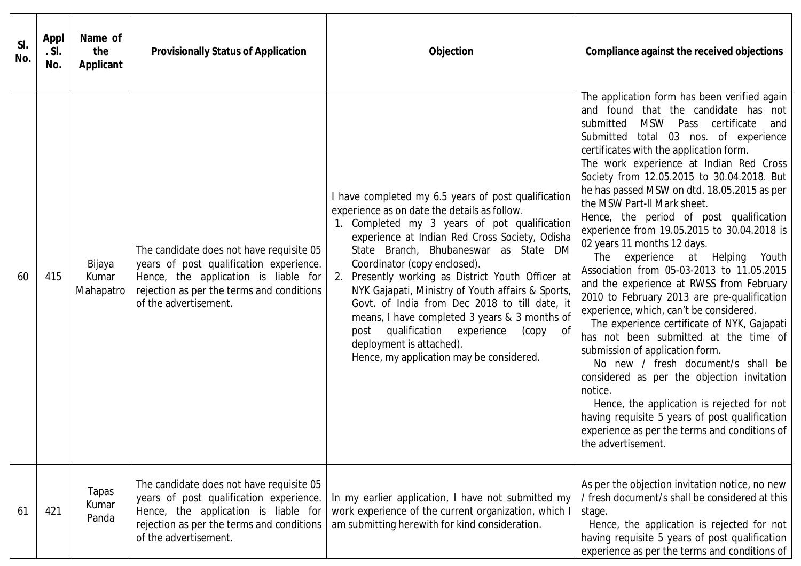| SI.<br>No. | Appl<br>.S.<br>No. | Name of<br>the<br><b>Applicant</b> | <b>Provisionally Status of Application</b>                                                                                                                                                        | <b>Objection</b>                                                                                                                                                                                                                                                                                                                                                                                                                                                                                                                                                                                                      | Compliance against the received objections                                                                                                                                                                                                                                                                                                                                                                                                                                                                                                                                                                                                                                                                                                                                                                                                                                                                                                                                                                                                                                                                                                     |
|------------|--------------------|------------------------------------|---------------------------------------------------------------------------------------------------------------------------------------------------------------------------------------------------|-----------------------------------------------------------------------------------------------------------------------------------------------------------------------------------------------------------------------------------------------------------------------------------------------------------------------------------------------------------------------------------------------------------------------------------------------------------------------------------------------------------------------------------------------------------------------------------------------------------------------|------------------------------------------------------------------------------------------------------------------------------------------------------------------------------------------------------------------------------------------------------------------------------------------------------------------------------------------------------------------------------------------------------------------------------------------------------------------------------------------------------------------------------------------------------------------------------------------------------------------------------------------------------------------------------------------------------------------------------------------------------------------------------------------------------------------------------------------------------------------------------------------------------------------------------------------------------------------------------------------------------------------------------------------------------------------------------------------------------------------------------------------------|
| 60         | 415                | Bijaya<br>Kumar<br>Mahapatro       | The candidate does not have requisite 05<br>years of post qualification experience.<br>Hence, the application is liable for<br>rejection as per the terms and conditions<br>of the advertisement. | I have completed my 6.5 years of post qualification<br>experience as on date the details as follow.<br>1. Completed my 3 years of pot qualification<br>experience at Indian Red Cross Society, Odisha<br>State Branch, Bhubaneswar as State DM<br>Coordinator (copy enclosed).<br>Presently working as District Youth Officer at<br>2.<br>NYK Gajapati, Ministry of Youth affairs & Sports,<br>Govt. of India from Dec 2018 to till date, it<br>means, I have completed 3 years & 3 months of<br>post qualification experience<br>(сору<br>of<br>deployment is attached).<br>Hence, my application may be considered. | The application form has been verified again<br>and found that the candidate has not<br>MSW Pass certificate<br>submitted<br>and<br>Submitted<br>total 03 nos. of experience<br>certificates with the application form.<br>The work experience at Indian Red Cross<br>Society from 12.05.2015 to 30.04.2018. But<br>he has passed MSW on dtd. 18.05.2015 as per<br>the MSW Part-II Mark sheet.<br>Hence, the period of post qualification<br>experience from 19.05.2015 to 30.04.2018 is<br>02 years 11 months 12 days.<br>The experience at Helping Youth<br>Association from 05-03-2013 to 11.05.2015<br>and the experience at RWSS from February<br>2010 to February 2013 are pre-qualification<br>experience, which, can't be considered.<br>The experience certificate of NYK, Gajapati<br>has not been submitted at the time of<br>submission of application form.<br>No new / fresh document/s shall be<br>considered as per the objection invitation<br>notice.<br>Hence, the application is rejected for not<br>having requisite 5 years of post qualification<br>experience as per the terms and conditions of<br>the advertisement. |
| 61         | 421                | <b>Tapas</b><br>Kumar<br>Panda     | The candidate does not have requisite 05<br>years of post qualification experience.<br>Hence, the application is liable for<br>rejection as per the terms and conditions<br>of the advertisement. | In my earlier application, I have not submitted my<br>work experience of the current organization, which I<br>am submitting herewith for kind consideration.                                                                                                                                                                                                                                                                                                                                                                                                                                                          | As per the objection invitation notice, no new<br>/ fresh document/s shall be considered at this<br>stage.<br>Hence, the application is rejected for not<br>having requisite 5 years of post qualification<br>experience as per the terms and conditions of                                                                                                                                                                                                                                                                                                                                                                                                                                                                                                                                                                                                                                                                                                                                                                                                                                                                                    |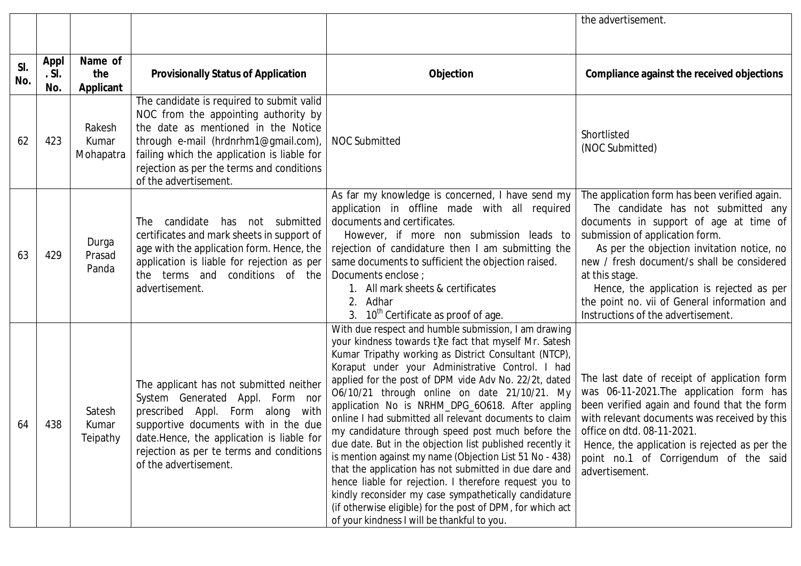|            |                    |                              |                                                                                                                                                                                                                                                                                       |                                                                                                                                                                                                                                                                                                                                                                                                                                                                                                                                                                                                                                                                                                                                                                                                                                                                                                                          | the advertisement.                                                                                                                                                                                                                                                                                                                                                                                                 |
|------------|--------------------|------------------------------|---------------------------------------------------------------------------------------------------------------------------------------------------------------------------------------------------------------------------------------------------------------------------------------|--------------------------------------------------------------------------------------------------------------------------------------------------------------------------------------------------------------------------------------------------------------------------------------------------------------------------------------------------------------------------------------------------------------------------------------------------------------------------------------------------------------------------------------------------------------------------------------------------------------------------------------------------------------------------------------------------------------------------------------------------------------------------------------------------------------------------------------------------------------------------------------------------------------------------|--------------------------------------------------------------------------------------------------------------------------------------------------------------------------------------------------------------------------------------------------------------------------------------------------------------------------------------------------------------------------------------------------------------------|
|            |                    |                              |                                                                                                                                                                                                                                                                                       |                                                                                                                                                                                                                                                                                                                                                                                                                                                                                                                                                                                                                                                                                                                                                                                                                                                                                                                          |                                                                                                                                                                                                                                                                                                                                                                                                                    |
| SI.<br>No. | Appl<br>.S.<br>No. | Name of<br>the<br>Applicant  | <b>Provisionally Status of Application</b>                                                                                                                                                                                                                                            | Objection                                                                                                                                                                                                                                                                                                                                                                                                                                                                                                                                                                                                                                                                                                                                                                                                                                                                                                                | Compliance against the received objections                                                                                                                                                                                                                                                                                                                                                                         |
| 62         | 423                | Rakesh<br>Kumar<br>Mohapatra | The candidate is required to submit valid<br>NOC from the appointing authority by<br>the date as mentioned in the Notice<br>through e-mail (hrdnrhm1@gmail.com),<br>failing which the application is liable for<br>rejection as per the terms and conditions<br>of the advertisement. | <b>NOC Submitted</b>                                                                                                                                                                                                                                                                                                                                                                                                                                                                                                                                                                                                                                                                                                                                                                                                                                                                                                     | Shortlisted<br>(NOC Submitted)                                                                                                                                                                                                                                                                                                                                                                                     |
| 63         | 429                | Durga<br>Prasad<br>Panda     | candidate has not submitted<br>The<br>certificates and mark sheets in support of<br>age with the application form. Hence, the<br>application is liable for rejection as per<br>terms and conditions of the<br>the<br>advertisement.                                                   | As far my knowledge is concerned, I have send my<br>application in offline made with all required<br>documents and certificates.<br>However, if more non submission leads to<br>rejection of candidature then I am submitting the<br>same documents to sufficient the objection raised.<br>Documents enclose ;<br>1. All mark sheets & certificates<br>Adhar<br>2.<br>3. 10 <sup>th</sup> Certificate as proof of age.                                                                                                                                                                                                                                                                                                                                                                                                                                                                                                   | The application form has been verified again.<br>The candidate has not submitted any<br>documents in support of age at time of<br>submission of application form.<br>As per the objection invitation notice, no<br>new / fresh document/s shall be considered<br>at this stage.<br>Hence, the application is rejected as per<br>the point no. vii of General information and<br>Instructions of the advertisement. |
| 64         | 438                | Satesh<br>Kumar<br>Teipathy  | The applicant has not submitted neither<br>System Generated Appl. Form nor<br>prescribed Appl. Form along with<br>supportive documents with in the due<br>date.Hence, the application is liable for<br>rejection as per te terms and conditions<br>of the advertisement.              | With due respect and humble submission, I am drawing<br>your kindness towards t}te fact that myself Mr. Satesh<br>Kumar Tripathy working as District Consultant (NTCP),<br>Koraput under your Administrative Control. I had<br>applied for the post of DPM vide Adv No. 22/2t, dated<br>O6/10/21 through online on date 21/10/21. My<br>application No is NRHM_DPG_6O618. After appling<br>online I had submitted all relevant documents to claim<br>my candidature through speed post much before the<br>due date. But in the objection list published recently it<br>is mention against my name (Objection List 51 No - 438)<br>that the application has not submitted in due dare and<br>hence liable for rejection. I therefore request you to<br>kindly reconsider my case sympathetically candidature<br>(if otherwise eligible) for the post of DPM, for which act<br>of your kindness I will be thankful to you. | The last date of receipt of application form<br>was 06-11-2021. The application form has<br>been verified again and found that the form<br>with relevant documents was received by this<br>office on dtd. 08-11-2021.<br>Hence, the application is rejected as per the<br>point no.1 of Corrigendum of the said<br>advertisement.                                                                                  |